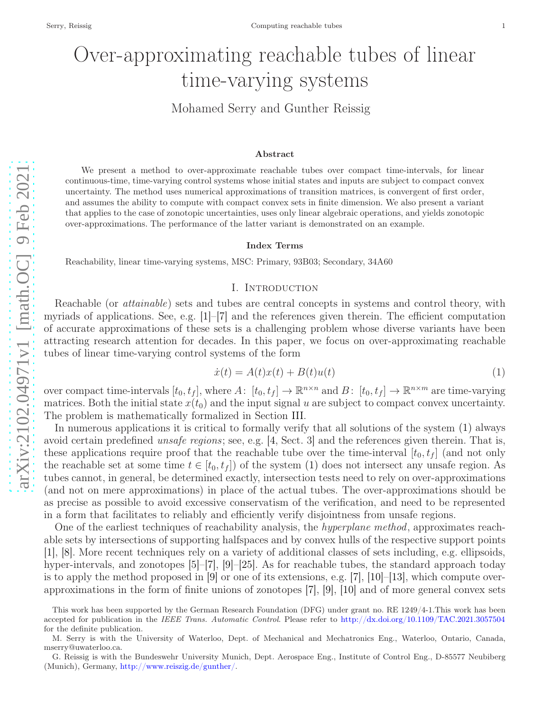# Over-approximating reachable tubes of linear time-varying systems

Mohamed Serry and Gunther Reissig

#### Abstract

We present a method to over-approximate reachable tubes over compact time-intervals, for linear continuous-time, time-varying control systems whose initial states and inputs are subject to compact convex uncertainty. The method uses numerical approximations of transition matrices, is convergent of first order, and assumes the ability to compute with compact convex sets in finite dimension. We also present a variant that applies to the case of zonotopic uncertainties, uses only linear algebraic operations, and yields zonotopic over-approximations. The performance of the latter variant is demonstrated on an example.

#### Index Terms

Reachability, linear time-varying systems, MSC: Primary, 93B03; Secondary, 34A60

## I. Introduction

Reachable (or *attainable*) sets and tubes are central concepts in systems and control theory, with myriads of applications. See, e.g. [ [1\]](#page-14-0)–[ [7\]](#page-14-1) and the references given therein. The efficient computation of accurate approximations of these sets is a challenging problem whose diverse variants have been attracting research attention for decades. In this paper, we focus on over-approximating reachable tubes of linear time-varying control systems of the form

<span id="page-0-0"></span>
$$
\dot{x}(t) = A(t)x(t) + B(t)u(t) \tag{1}
$$

over compact time-intervals  $[t_0, t_f]$ , where  $A: [t_0, t_f] \to \mathbb{R}^{n \times n}$  and  $B: [t_0, t_f] \to \mathbb{R}^{n \times m}$  are time-varying matrices. Both the initial state  $x(t_0)$  and the input signal u are subject to compact convex uncertainty. The problem is mathematically formalized in Section [III.](#page-3-0)

In numerous applications it is critical to formally verify that all solutions of the system [\(1\)](#page-0-0) always avoid certain predefined *unsafe regions*; see, e.g. [[4,](#page-14-2) Sect. 3] and the references given therein. That is, these applications require proof that the reachable tube over the time-interval  $[t_0, t_f]$  (and not only the reachable set at some time  $t \in [t_0, t_f]$  of the system [\(1\)](#page-0-0) does not intersect any unsafe region. As tubes cannot, in general, be determined exactly, intersection tests need to rely on over-approximations (and not on mere approximations) in place of the actual tubes. The over-approximations should be as precise as possible to avoid excessive conservatism of the verification, and need to be represented in a form that facilitates to reliably and efficiently verify disjointness from unsafe regions.

One of the earliest techniques of reachability analysis, the *hyperplane method*, approximates reachable sets by intersections of supporting halfspaces and by convex hulls of the respective support points [\[1\]](#page-14-0), [\[8\]](#page-14-3). More recent techniques rely on a variety of additional classes of sets including, e.g. ellipsoids, hyper-intervals, and zonotopes [[5\]](#page-14-4)–[[7\]](#page-14-1), [[9\]](#page-14-5)–[\[25\]](#page-14-6). As for reachable tubes, the standard approach today is to apply the method proposed in [ [9\]](#page-14-5) or one of its extensions, e.g. [ [7\]](#page-14-1), [\[10\]](#page-14-7)–[\[13\]](#page-14-8), which compute overapproximations in the form of finite unions of zonotopes [\[7\]](#page-14-1), [\[9\]](#page-14-5), [\[10\]](#page-14-7) and of more general convex sets

This work has been supported by the German Research Foundation (DFG) under grant no. RE 1249/4-1.This work has been accepted for publication in the IEEE Trans. Automatic Control. Please refer to <http://dx.doi.org/10.1109/TAC.2021.3057504> for the definite publication.

M. Serry is with the University of Waterloo, Dept. of Mechanical and Mechatronics Eng., Waterloo, Ontario, Canada, mserry@uwaterloo.ca.

G. Reissig is with the Bundeswehr University Munich, Dept. Aerospace Eng., Institute of Control Eng., D-85577 Neubiber g (Munich), Germany, <http://www.reiszig.de/gunther/> .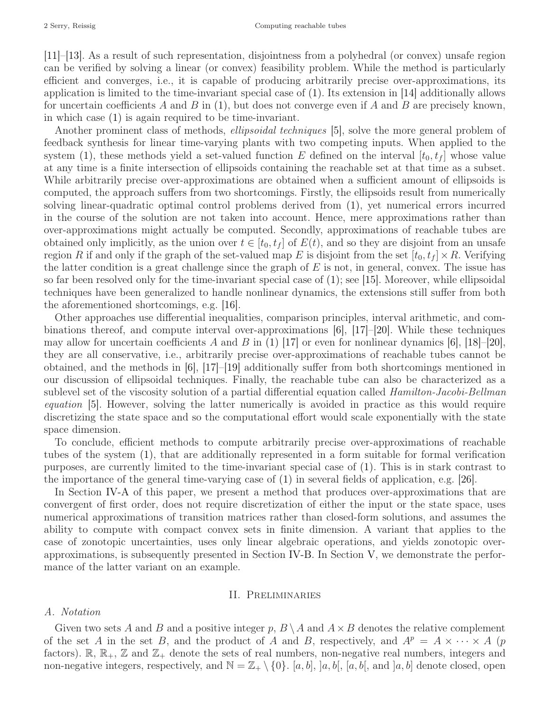[\[11\]](#page-14-9)–[\[13\]](#page-14-8). As a result of such representation, disjointness from a polyhedral (or convex) unsafe region can be verified by solving a linear (or convex) feasibility problem. While the method is particularly efficient and converges, i.e., it is capable of producing arbitrarily precise over-approximations, its application is limited to the time-invariant special case of [\(1\).](#page-0-0) Its extension in [\[14\]](#page-14-10) additionally allows for uncertain coefficients A and B in [\(1\),](#page-0-0) but does not converge even if A and B are precisely known, in which case [\(1\)](#page-0-0) is again required to be time-invariant.

Another prominent class of methods, *ellipsoidal techniques* [\[5\]](#page-14-4), solve the more general problem of feedback synthesis for linear time-varying plants with two competing inputs. When applied to the system [\(1\),](#page-0-0) these methods yield a set-valued function E defined on the interval  $[t_0, t_f]$  whose value at any time is a finite intersection of ellipsoids containing the reachable set at that time as a subset. While arbitrarily precise over-approximations are obtained when a sufficient amount of ellipsoids is computed, the approach suffers from two shortcomings. Firstly, the ellipsoids result from numerically solving linear-quadratic optimal control problems derived from [\(1\),](#page-0-0) yet numerical errors incurred in the course of the solution are not taken into account. Hence, mere approximations rather than over-approximations might actually be computed. Secondly, approximations of reachable tubes are obtained only implicitly, as the union over  $t \in [t_0, t_f]$  of  $E(t)$ , and so they are disjoint from an unsafe region R if and only if the graph of the set-valued map E is disjoint from the set  $[t_0, t_f] \times R$ . Verifying the latter condition is a great challenge since the graph of  $E$  is not, in general, convex. The issue has so far been resolved only for the time-invariant special case of [\(1\);](#page-0-0) see [\[15\]](#page-14-11). Moreover, while ellipsoidal techniques have been generalized to handle nonlinear dynamics, the extensions still suffer from both the aforementioned shortcomings, e.g. [\[16\]](#page-14-12).

Other approaches use differential inequalities, comparison principles, interval arithmetic, and combinations thereof, and compute interval over-approximations [\[6\]](#page-14-13), [\[17\]](#page-14-14)–[\[20\]](#page-14-15). While these techniques may allow for uncertain coefficients A and B in [\(1\)](#page-0-0) [\[17\]](#page-14-14) or even for nonlinear dynamics [\[6\]](#page-14-13), [\[18\]](#page-14-16)–[\[20\]](#page-14-15), they are all conservative, i.e., arbitrarily precise over-approximations of reachable tubes cannot be obtained, and the methods in  $|6|$ ,  $|17|$ – $|19|$  additionally suffer from both shortcomings mentioned in our discussion of ellipsoidal techniques. Finally, the reachable tube can also be characterized as a sublevel set of the viscosity solution of a partial differential equation called *Hamilton-Jacobi-Bellman* equation [\[5\]](#page-14-4). However, solving the latter numerically is avoided in practice as this would require discretizing the state space and so the computational effort would scale exponentially with the state space dimension.

To conclude, efficient methods to compute arbitrarily precise over-approximations of reachable tubes of the system [\(1\),](#page-0-0) that are additionally represented in a form suitable for formal verification purposes, are currently limited to the time-invariant special case of [\(1\).](#page-0-0) This is in stark contrast to the importance of the general time-varying case of [\(1\)](#page-0-0) in several fields of application, e.g. [\[26\]](#page-14-18).

In Section [IV-A](#page-4-0) of this paper, we present a method that produces over-approximations that are convergent of first order, does not require discretization of either the input or the state space, uses numerical approximations of transition matrices rather than closed-form solutions, and assumes the ability to compute with compact convex sets in finite dimension. A variant that applies to the case of zonotopic uncertainties, uses only linear algebraic operations, and yields zonotopic overapproximations, is subsequently presented in Section [IV-B.](#page-7-0) In Section [V,](#page-9-0) we demonstrate the performance of the latter variant on an example.

## II. Preliminaries

## A. Notation

Given two sets A and B and a positive integer p,  $B \setminus A$  and  $A \times B$  denotes the relative complement of the set A in the set B, and the product of A and B, respectively, and  $A^p = A \times \cdots \times A$  (p factors).  $\mathbb{R}, \mathbb{R}_+, \mathbb{Z}$  and  $\mathbb{Z}_+$  denote the sets of real numbers, non-negative real numbers, integers and non-negative integers, respectively, and  $\mathbb{N} = \mathbb{Z}_+ \setminus \{0\}$ . [a, b], [a, b[, [a, b], and [a, b] denote closed, open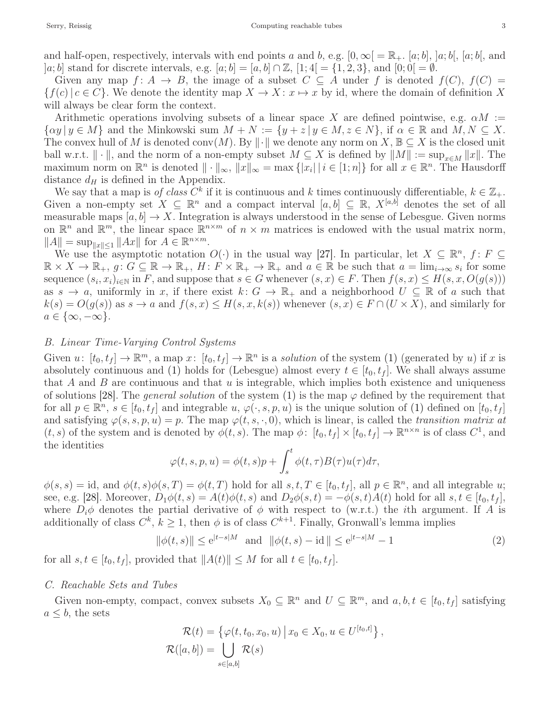and half-open, respectively, intervals with end points a and b, e.g.  $[0,\infty] = \mathbb{R}_+$ . [a; b], [a; b], [a; b], and |a; b| stand for discrete intervals, e.g.  $[a; b] = [a, b] \cap \mathbb{Z}$ ,  $[1; 4] = \{1, 2, 3\}$ , and  $[0; 0] = \emptyset$ .

Given any map  $f: A \to B$ , the image of a subset  $C \subseteq A$  under f is denoted  $f(C)$ ,  $f(C) =$  ${f(c) | c \in C}$ . We denote the identity map  $X \to X: x \mapsto x$  by id, where the domain of definition X will always be clear form the context.

Arithmetic operations involving subsets of a linear space X are defined pointwise, e.g.  $\alpha M :=$  $\{\alpha y \mid y \in M\}$  and the Minkowski sum  $M + N := \{y + z \mid y \in M, z \in N\}$ , if  $\alpha \in \mathbb{R}$  and  $M, N \subseteq X$ . The convex hull of M is denoted conv $(M)$ . By  $\|\cdot\|$  we denote any norm on  $X, \mathbb{B} \subseteq X$  is the closed unit ball w.r.t.  $\|\cdot\|$ , and the norm of a non-empty subset  $M \subseteq X$  is defined by  $\|M\| := \sup_{x \in M} \|x\|$ . The maximum norm on  $\mathbb{R}^n$  is denoted  $\|\cdot\|_{\infty}$ ,  $||x||_{\infty} = \max\{|x_i| \,|\, i \in [1; n]\}$  for all  $x \in \mathbb{R}^n$ . The Hausdorff distance  $d_H$  is defined in the Appendix.

We say that a map is of class  $C^k$  if it is continuous and k times continuously differentiable,  $k \in \mathbb{Z}_+$ . Given a non-empty set  $X \subseteq \mathbb{R}^n$  and a compact interval  $[a, b] \subseteq \mathbb{R}$ ,  $X^{[a,b]}$  denotes the set of all measurable maps  $[a, b] \to X$ . Integration is always understood in the sense of Lebesgue. Given norms on  $\mathbb{R}^n$  and  $\mathbb{R}^m$ , the linear space  $\mathbb{R}^{n \times m}$  of  $n \times m$  matrices is endowed with the usual matrix norm,  $||A|| = \sup_{||x|| \le 1} ||Ax||$  for  $A \in \mathbb{R}^{n \times m}$ .

We use the asymptotic notation  $O(\cdot)$  in the usual way [\[27\]](#page-14-19). In particular, let  $X \subseteq \mathbb{R}^n$ ,  $f \colon F \subseteq$  $\mathbb{R} \times X \to \mathbb{R}_+$ ,  $g: G \subseteq \mathbb{R} \to \mathbb{R}_+$ ,  $H: F \times \mathbb{R}_+ \to \mathbb{R}_+$  and  $a \in \mathbb{R}$  be such that  $a = \lim_{i \to \infty} s_i$  for some sequence  $(s_i, x_i)_{i \in \mathbb{N}}$  in F, and suppose that  $s \in G$  whenever  $(s, x) \in F$ . Then  $f(s, x) \leq H(s, x, O(g(s)))$ as  $s \to a$ , uniformly in x, if there exist  $k: G \to \mathbb{R}_+$  and a neighborhood  $U \subseteq \mathbb{R}$  of a such that  $k(s) = O(g(s))$  as  $s \to a$  and  $f(s, x) \leq H(s, x, k(s))$  whenever  $(s, x) \in F \cap (U \times X)$ , and similarly for  $a \in \{\infty, -\infty\}.$ 

## B. Linear Time-Varying Control Systems

Given  $u: [t_0, t_f] \to \mathbb{R}^m$ , a map  $x: [t_0, t_f] \to \mathbb{R}^n$  is a *solution* of the system [\(1\)](#page-0-0) (generated by u) if x is absolutely continuous and [\(1\)](#page-0-0) holds for (Lebesgue) almost every  $t \in [t_0, t_f]$ . We shall always assume that A and B are continuous and that  $u$  is integrable, which implies both existence and uniqueness of solutions [\[28\]](#page-14-20). The *general solution* of the system [\(1\)](#page-0-0) is the map  $\varphi$  defined by the requirement that for all  $p \in \mathbb{R}^n$ ,  $s \in [t_0, t_f]$  and integrable  $u, \varphi(\cdot, s, p, u)$  is the unique solution of [\(1\)](#page-0-0) defined on  $[t_0, t_f]$ and satisfying  $\varphi(s, s, p, u) = p$ . The map  $\varphi(t, s, \cdot, 0)$ , which is linear, is called the transition matrix at  $(t, s)$  of the system and is denoted by  $\phi(t, s)$ . The map  $\phi: [t_0, t_f] \times [t_0, t_f] \to \mathbb{R}^{n \times n}$  is of class  $C^1$ , and the identities

$$
\varphi(t,s,p,u) = \phi(t,s)p + \int_s^t \phi(t,\tau)B(\tau)u(\tau)d\tau,
$$

 $\phi(s,s) = id$ , and  $\phi(t,s)\phi(s,T) = \phi(t,T)$  hold for all  $s,t,T \in [t_0,t_f]$ , all  $p \in \mathbb{R}^n$ , and all integrable u; see, e.g. [\[28\]](#page-14-20). Moreover,  $D_1\phi(t,s) = A(t)\phi(t,s)$  and  $D_2\phi(s,t) = -\phi(s,t)A(t)$  hold for all  $s,t \in [t_0, t_f]$ , where  $D_i\phi$  denotes the partial derivative of  $\phi$  with respect to (w.r.t.) the *i*th argument. If A is additionally of class  $C^k$ ,  $k \geq 1$ , then  $\phi$  is of class  $C^{k+1}$ . Finally, Gronwall's lemma implies

<span id="page-2-0"></span>
$$
\|\phi(t,s)\| \le e^{|t-s|M|}
$$
 and  $\|\phi(t,s) - id\| \le e^{|t-s|M|} - 1$  (2)

for all  $s, t \in [t_0, t_f]$ , provided that  $||A(t)|| \leq M$  for all  $t \in [t_0, t_f]$ .

## C. Reachable Sets and Tubes

Given non-empty, compact, convex subsets  $X_0 \subseteq \mathbb{R}^n$  and  $U \subseteq \mathbb{R}^m$ , and  $a, b, t \in [t_0, t_f]$  satisfying  $a \leq b$ , the sets

$$
\mathcal{R}(t) = \{ \varphi(t, t_0, x_0, u) \, \big| \, x_0 \in X_0, u \in U^{[t_0, t]} \},
$$
  

$$
\mathcal{R}([a, b]) = \bigcup_{s \in [a, b]} \mathcal{R}(s)
$$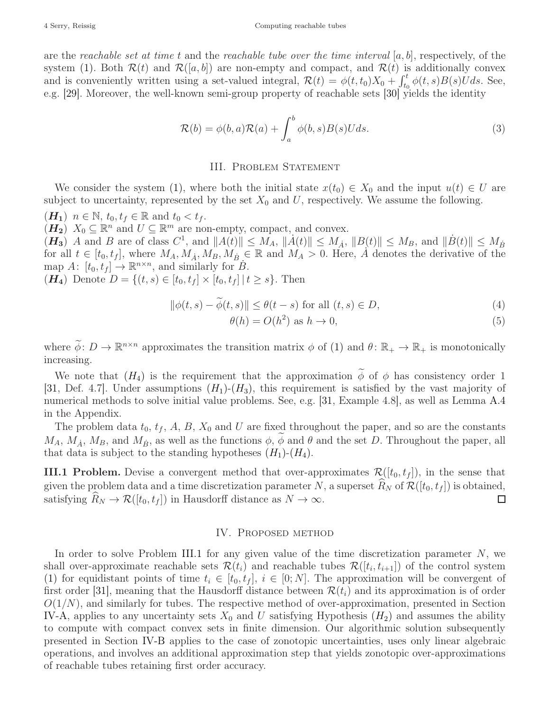are the reachable set at time t and the reachable tube over the time interval  $[a, b]$ , respectively, of the system [\(1\).](#page-0-0) Both  $\mathcal{R}(t)$  and  $\mathcal{R}([a, b])$  are non-empty and compact, and  $\mathcal{R}(t)$  is additionally convex and is conveniently written using a set-valued integral,  $\mathcal{R}(t) = \phi(t, t_0)X_0 + \int_{t_0}^t \phi(t, s)B(s)Uds$ . See, e.g. [\[29\]](#page-14-21). Moreover, the well-known semi-group property of reachable sets [\[30\]](#page-14-22) yields the identity

<span id="page-3-7"></span>
$$
\mathcal{R}(b) = \phi(b, a)\mathcal{R}(a) + \int_{a}^{b} \phi(b, s)B(s)Uds.
$$
\n(3)

### III. Problem Statement

<span id="page-3-0"></span>We consider the system [\(1\),](#page-0-0) where both the initial state  $x(t_0) \in X_0$  and the input  $u(t) \in U$  are subject to uncertainty, represented by the set  $X_0$  and U, respectively. We assume the following.

<span id="page-3-6"></span><span id="page-3-2"></span> $(H_1)$   $n \in \mathbb{N}$ ,  $t_0, t_f \in \mathbb{R}$  and  $t_0 < t_f$ .

<span id="page-3-3"></span> $(H_2)$   $X_0 \subseteq \mathbb{R}^n$  and  $U \subseteq \mathbb{R}^m$  are non-empty, compact, and convex.

 $(H_3)$  A and B are of class  $C^1$ , and  $||A(t)|| \leq M_A$ ,  $||A(t)|| \leq M_A$ ,  $||B(t)|| \leq M_B$ , and  $||B(t)|| \leq M_B$ for all  $t \in [t_0, t_f]$ , where  $M_A, M_A, M_B, M_B \in \mathbb{R}$  and  $M_A > 0$ . Here,  $\dot{A}$  denotes the derivative of the map  $A: [t_0, t_f] \to \mathbb{R}^{n \times n}$ , and similarly for  $B$ .

<span id="page-3-1"></span> $(H_4)$  Denote  $D = \{(t, s) \in [t_0, t_f] \times [t_0, t_f] | t \geq s\}.$  Then

$$
\|\phi(t,s) - \widetilde{\phi}(t,s)\| \le \theta(t-s) \text{ for all } (t,s) \in D,
$$
\n(4)

<span id="page-3-8"></span><span id="page-3-4"></span>
$$
\theta(h) = O(h^2) \text{ as } h \to 0,
$$
\n<sup>(5)</sup>

where  $\widetilde{\phi}: D \to \mathbb{R}^{n \times n}$  approximates the transition matrix  $\phi$  of [\(1\)](#page-0-0) and  $\theta: \mathbb{R}_+ \to \mathbb{R}_+$  is monotonically increasing.

We note that  $(H_4)$  $(H_4)$  $(H_4)$  is the requirement that the approximation  $\phi$  of  $\phi$  has consistency order 1 [\[31,](#page-15-0) Def. 4.7]. Under assumptions  $(H_1)$  $(H_1)$  $(H_1)$ - $(H_3)$ , this requirement is satisfied by the vast majority of numerical methods to solve initial value problems. See, e.g. [\[31,](#page-15-0) Example 4.8], as well as Lemma [A.4](#page-13-0) in the Appendix.

The problem data  $t_0$ ,  $t_f$ , A, B,  $X_0$  and U are fixed throughout the paper, and so are the constants  $M_A$ ,  $M_A$ ,  $M_B$ , and  $M_B$ , as well as the functions  $\phi$ ,  $\phi$  and  $\theta$  and the set D. Throughout the paper, all that data is subject to the standing hypotheses  $(H_1)-(H_4)$  $(H_1)-(H_4)$  $(H_1)-(H_4)$ .

<span id="page-3-5"></span>**III.1 Problem.** Devise a convergent method that over-approximates  $\mathcal{R}([t_0, t_f])$ , in the sense that given the problem data and a time discretization parameter N, a superset  $R_N$  of  $\mathcal{R}([t_0, t_f])$  is obtained, satisfying  $\widehat{R}_N \to \mathcal{R}([t_0, t_f])$  in Hausdorff distance as  $N \to \infty$ . □

## IV. Proposed method

<span id="page-3-9"></span>In order to solve Problem [III.1](#page-3-5) for any given value of the time discretization parameter  $N$ , we shall over-approximate reachable sets  $\mathcal{R}(t_i)$  and reachable tubes  $\mathcal{R}([t_i, t_{i+1}])$  of the control system [\(1\)](#page-0-0) for equidistant points of time  $t_i \in [t_0, t_f], i \in [0; N]$ . The approximation will be convergent of first order [\[31\]](#page-15-0), meaning that the Hausdorff distance between  $\mathcal{R}(t_i)$  and its approximation is of order  $O(1/N)$ , and similarly for tubes. The respective method of over-approximation, presented in Section [IV-A,](#page-4-0) applies to any uncertainty sets  $X_0$  and U satisfying [H](#page-3-6)ypothesis  $(H_2)$  and assumes the ability to compute with compact convex sets in finite dimension. Our algorithmic solution subsequently presented in Section [IV-B](#page-7-0) applies to the case of zonotopic uncertainties, uses only linear algebraic operations, and involves an additional approximation step that yields zonotopic over-approximations of reachable tubes retaining first order accuracy.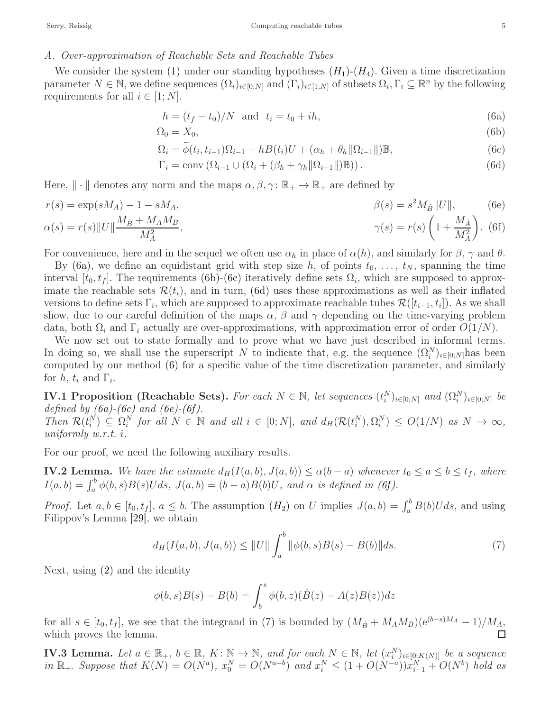## <span id="page-4-0"></span>A. Over-approximation of Reachable Sets and Reachable Tubes

We consider the system [\(1\)](#page-0-0) under our standing hypotheses  $(H_1)-(H_4)$  $(H_1)-(H_4)$  $(H_1)-(H_4)$ . Given a time discretization parameter  $N \in \mathbb{N}$ , we define sequences  $(\Omega_i)_{i \in [0,N]}$  and  $(\Gamma_i)_{i \in [1,N]}$  of subsets  $\Omega_i, \Gamma_i \subseteq \mathbb{R}^n$  by the following requirements for all  $i \in [1; N]$ .

<span id="page-4-5"></span><span id="page-4-3"></span><span id="page-4-2"></span><span id="page-4-1"></span>
$$
h = (t_f - t_0)/N \text{ and } t_i = t_0 + ih,
$$
\n(6a)

$$
\Omega_0 = X_0,\tag{6b}
$$

$$
\Omega_i = \widetilde{\phi}(t_i, t_{i-1})\Omega_{i-1} + h(t_i)U + (\alpha_h + \theta_h ||\Omega_{i-1}||)\mathbb{B},\tag{6c}
$$

<span id="page-4-7"></span><span id="page-4-6"></span><span id="page-4-4"></span>
$$
\Gamma_i = \text{conv}\left(\Omega_{i-1} \cup \left(\Omega_i + (\beta_h + \gamma_h \|\Omega_{i-1}\|)\mathbb{B}\right)\right). \tag{6d}
$$

Here,  $\|\cdot\|$  denotes any norm and the maps  $\alpha, \beta, \gamma \colon \mathbb{R}_+ \to \mathbb{R}_+$  are defined by

$$
r(s) = \exp(sM_A) - 1 - sM_A,
$$
  
\n
$$
\beta(s) = s^2 M_B ||U||,
$$
  
\n
$$
\alpha(s) = r(s) ||U|| \frac{M_B + M_A M_B}{M_A^2},
$$
  
\n
$$
\gamma(s) = r(s) \left(1 + \frac{M_A}{M_A^2}\right).
$$
 (6f)

For convenience, here and in the sequel we often use  $\alpha_h$  in place of  $\alpha(h)$ , and similarly for  $\beta$ ,  $\gamma$  and  $\theta$ .

By [\(6a\),](#page-4-1) we define an equidistant grid with step size h, of points  $t_0, \ldots, t_N$ , spanning the time interval  $[t_0, t_f]$ . The requirements [\(6b\)-](#page-4-2)[\(6c\)](#page-4-3) iteratively define sets  $\Omega_i$ , which are supposed to approximate the reachable sets  $\mathcal{R}(t_i)$ , and in turn, [\(6d\)](#page-4-4) uses these approximations as well as their inflated versions to define sets  $\Gamma_i$ , which are supposed to approximate reachable tubes  $\mathcal{R}([t_{i-1}, t_i])$ . As we shall show, due to our careful definition of the maps  $\alpha$ ,  $\beta$  and  $\gamma$  depending on the time-varying problem data, both  $\Omega_i$  and  $\Gamma_i$  actually are over-approximations, with approximation error of order  $O(1/N)$ .

We now set out to state formally and to prove what we have just described in informal terms. In doing so, we shall use the superscript N to indicate that, e.g. the sequence  $(\Omega_i^N)_{i\in[0,N]}$  has been computed by our method [\(6\)](#page-4-5) for a specific value of the time discretization parameter, and similarly for  $h, t_i$  and  $\Gamma_i$ .

<span id="page-4-9"></span>**IV.1 Proposition (Reachable Sets).** For each  $N \in \mathbb{N}$ , let sequences  $(t_i^N)_{i \in [0,N]}$  and  $(\Omega_i^N)_{i \in [0,N]}$  be defined by  $(6a)-(6c)$  $(6a)-(6c)$  and  $(6e)-(6f)$  $(6e)-(6f)$ . Then  $\mathcal{R}(t_i^N) \subseteq \Omega_i^N$  for all  $N \in \mathbb{N}$  and all  $i \in [0; N]$ , and  $d_H(\mathcal{R}(t_i^N), \Omega_i^N) \le O(1/N)$  as  $N \to \infty$ , uniformly w.r.t. i.

For our proof, we need the following auxiliary results.

<span id="page-4-10"></span>**IV.2 Lemma.** We have the estimate  $d_H(I(a, b), J(a, b)) \leq \alpha(b - a)$  whenever  $t_0 \leq a \leq b \leq t_f$ , where  $I(a,b) = \int_a^b \phi(b,s)B(s)Uds$ ,  $J(a,b) = (b-a)B(b)U$ , and  $\alpha$  is defined in (6f).

*Proof.* Let  $a, b \in [t_0, t_f]$ ,  $a \leq b$ . The assumption  $(H_2)$  $(H_2)$  $(H_2)$  on U implies  $J(a, b) = \int_a^b B(b)U ds$ , and using Filippov's Lemma [\[29\]](#page-14-21), we obtain

<span id="page-4-8"></span>
$$
d_H(I(a,b), J(a,b)) \le ||U|| \int_a^b ||\phi(b,s)B(s) - B(b)||ds.
$$
 (7)

Next, using [\(2\)](#page-2-0) and the identity

$$
\phi(b,s)B(s) - B(b) = \int_b^s \phi(b,z)(\dot{B}(z) - A(z)B(z))dz
$$

for all  $s \in [t_0, t_f]$ , we see that the integrand in [\(7\)](#page-4-8) is bounded by  $(M_B + M_A M_B)(e^{(b-s)M_A} - 1)/M_A$ , which proves the lemma.

<span id="page-4-11"></span>**IV.3 Lemma.** Let  $a \in \mathbb{R}_+$ ,  $b \in \mathbb{R}$ ,  $K: \mathbb{N} \to \mathbb{N}$ , and for each  $N \in \mathbb{N}$ , let  $(x_i^N)_{i \in [0:K(N)]}$  be a sequence in  $\mathbb{R}_+$ . Suppose that  $K(N) = O(N^a)$ ,  $x_0^N = O(N^{a+b})$  and  $x_i^N \leq (1 + O(N^{-a}))x_{i-1}^N + O(N^b)$  hold as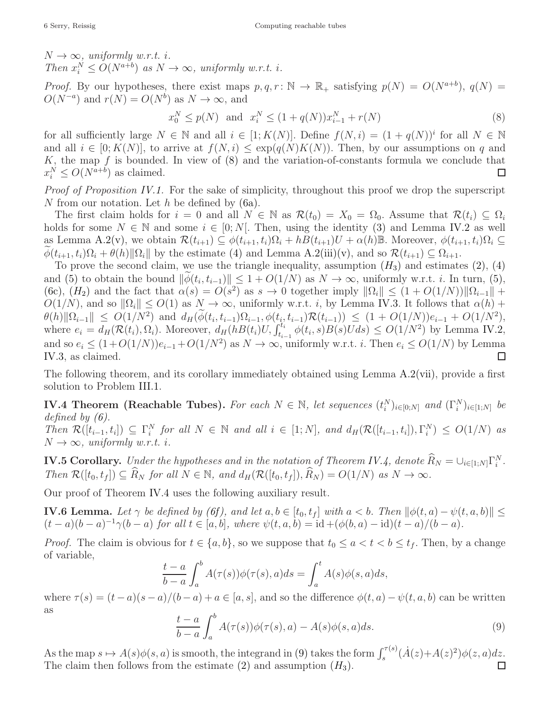$N \rightarrow \infty$ , uniformly w.r.t. i. Then  $x_i^N \leq O(N^{a+b})$  as  $N \to \infty$ , uniformly w.r.t. i.

*Proof.* By our hypotheses, there exist maps  $p, q, r \colon \mathbb{N} \to \mathbb{R}_+$  satisfying  $p(N) = O(N^{a+b})$ ,  $q(N) =$  $O(N^{-a})$  and  $r(N) = O(N^b)$  as  $N \to \infty$ , and

<span id="page-5-0"></span>
$$
x_0^N \le p(N) \text{ and } x_i^N \le (1 + q(N))x_{i-1}^N + r(N) \tag{8}
$$

for all sufficiently large  $N \in \mathbb{N}$  and all  $i \in [1; K(N)]$ . Define  $f(N, i) = (1 + q(N))^i$  for all  $N \in \mathbb{N}$ and all  $i \in [0; K(N)]$ , to arrive at  $f(N, i) \leq \exp(q(N)K(N))$ . Then, by our assumptions on q and K, the map f is bounded. In view of  $(8)$  and the variation-of-constants formula we conclude that  $x_i^N \leq O(N^{a+b})$  as claimed. □

Proof of Proposition [IV.1.](#page-4-9) For the sake of simplicity, throughout this proof we drop the superscript N from our notation. Let  $h$  be defined by  $(6a)$ .

The first claim holds for  $i = 0$  and all  $N \in \mathbb{N}$  as  $\mathcal{R}(t_0) = X_0 = \Omega_0$ . Assume that  $\mathcal{R}(t_i) \subseteq \Omega_i$ holds for some  $N \in \mathbb{N}$  and some  $i \in [0; N]$ . Then, using the identity [\(3\)](#page-3-7) and Lemma [IV.2](#page-4-10) as well as Lemma [A.2](#page-13-1)[\(v\),](#page-13-2) we obtain  $\mathcal{R}(t_{i+1}) \subseteq \phi(t_{i+1}, t_i) \Omega_i + h(t_{i+1})U + \alpha(h) \mathbb{B}$ . Moreover,  $\phi(t_{i+1}, t_i) \Omega_i \subseteq$  $\widetilde{\phi}(t_{i+1}, t_i) \Omega_i + \theta(h) \|\Omega_i\|$  by the estimate [\(4\)](#page-3-8) and Lemma [A.2](#page-13-1)[\(iii\)](#page-13-3)[\(v\),](#page-13-2) and so  $\mathcal{R}(t_{i+1}) \subseteq \Omega_{i+1}$ .

To prove the second claim, we use the triangle inequality, assumption  $(H_3)$  $(H_3)$  $(H_3)$  and estimates [\(2\),](#page-2-0) [\(4\)](#page-3-8) and [\(5\)](#page-3-4) to obtain the bound  $\|\phi(t_i, t_{i-1})\| \leq 1 + O(1/N)$  as  $N \to \infty$ , uniformly w.r.t. *i*. In turn, [\(5\),](#page-3-4) [\(6c\),](#page-4-3)  $(H_2)$  $(H_2)$  $(H_2)$  and the fact that  $\alpha(s) = O(s^2)$  as  $s \to 0$  together imply  $\|\Omega_i\| \leq (1 + O(1/N)) \|\Omega_{i-1}\| +$  $O(1/N)$ , and so  $\|\Omega_i\| \leq O(1)$  as  $N \to \infty$ , uniformly w.r.t. i, by Lemma [IV.3.](#page-4-11) It follows that  $\alpha(h)$  +  $\|\theta(h)\|\Omega_{i-1}\| \leq O(1/N^2)$  and  $d_H(\phi(t_i,t_{i-1})\Omega_{i-1},\phi(t_i,t_{i-1})\mathcal{R}(t_{i-1})) \leq (1+O(1/N))e_{i-1}+O(1/N^2),$ where  $e_i = d_H(\mathcal{R}(t_i), \Omega_i)$ . Moreover,  $d_H(hB(t_i)U, \int_{t_{i-1}}^{t_i} \phi(t_i, s)B(s)Uds) \leq O(1/N^2)$  by Lemma [IV.2,](#page-4-10) and so  $e_i \leq (1+O(1/N))e_{i-1}+O(1/N^2)$  as  $N \to \infty$ , uniformly w.r.t. *i*. Then  $e_i \leq O(1/N)$  by Lemma [IV.3,](#page-4-11) as claimed.  $\Box$ 

The following theorem, and its corollary immediately obtained using Lemma [A.2](#page-13-1)[\(vii\),](#page-13-4) provide a first solution to Problem [III.1.](#page-3-5)

<span id="page-5-1"></span>**IV.4 Theorem (Reachable Tubes).** For each  $N \in \mathbb{N}$ , let sequences  $(t_i^N)_{i \in [0;N]}$  and  $(\Gamma_i^N)_{i \in [1;N]}$  be defined by  $(6)$ . Then  $\mathcal{R}([t_{i-1}, t_i]) \subseteq \Gamma_i^N$  for all  $N \in \mathbb{N}$  and all  $i \in [1; N]$ , and  $d_H(\mathcal{R}([t_{i-1}, t_i]), \Gamma_i^N) \leq O(1/N)$  as

 $N \rightarrow \infty$ , uniformly w.r.t. i.

**IV.5 Corollary.** Under the hypotheses and in the notation of Theorem [IV.4,](#page-5-1) denote  $\widehat{R}_N = \cup_{i \in [1;N]} \Gamma_i^N$ . Then  $\mathcal{R}([t_0, t_f]) \subseteq \widehat{R}_N$  for all  $N \in \mathbb{N}$ , and  $d_H(\mathcal{R}([t_0, t_f]), \widehat{R}_N) = O(1/N)$  as  $N \to \infty$ .

Our proof of Theorem [IV.4](#page-5-1) uses the following auxiliary result.

<span id="page-5-3"></span>**IV.6 Lemma.** Let  $\gamma$  be defined by (6f), and let  $a, b \in [t_0, t_f]$  with  $a < b$ . Then  $\|\phi(t, a) - \psi(t, a, b)\| \le$  $(t-a)(b-a)^{-1}\gamma(b-a)$  for all  $t \in [a, b]$ , where  $\psi(t, a, b) = id + (\phi(b, a) - id)(t - a)/(b - a)$ .

*Proof.* The claim is obvious for  $t \in \{a, b\}$ , so we suppose that  $t_0 \le a < t < b \le t_f$ . Then, by a change of variable,

$$
\frac{t-a}{b-a} \int_a^b A(\tau(s))\phi(\tau(s),a)ds = \int_a^t A(s)\phi(s,a)ds,
$$

where  $\tau(s) = (t - a)(s - a)/(b - a) + a \in [a, s]$ , and so the difference  $\phi(t, a) - \psi(t, a, b)$  can be written as

<span id="page-5-2"></span>
$$
\frac{t-a}{b-a} \int_{a}^{b} A(\tau(s))\phi(\tau(s),a) - A(s)\phi(s,a)ds.
$$
 (9)

As the map  $s \mapsto A(s)\phi(s, a)$  is smooth, the integrand in [\(9\)](#page-5-2) takes the form  $\int_s^{\tau(s)} (A(z)+A(z)^2)\phi(z, a)dz$ . The claim then follows from the estimate  $(2)$  and assumption  $(H_3)$  $(H_3)$  $(H_3)$ .  $\Box$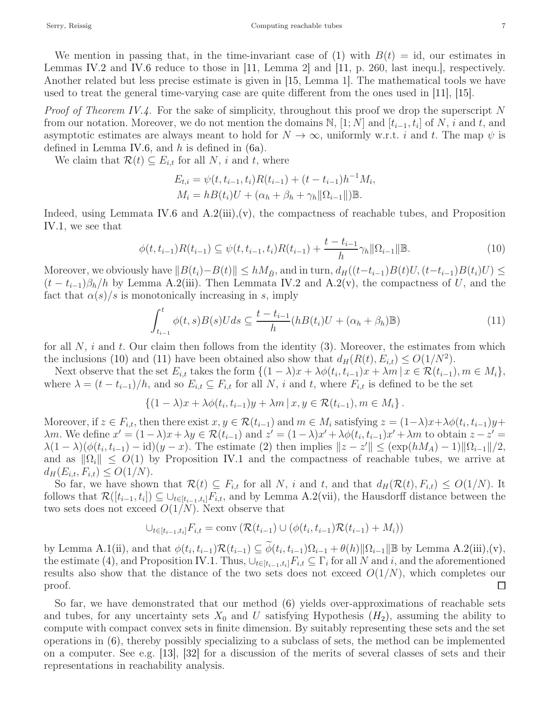We mention in passing that, in the time-invariant case of [\(1\)](#page-0-0) with  $B(t) = id$ , our estimates in Lemmas [IV.2](#page-4-10) and [IV.6](#page-5-3) reduce to those in [\[11,](#page-14-9) Lemma 2] and [\[11,](#page-14-9) p. 260, last inequ.], respectively. Another related but less precise estimate is given in [\[15,](#page-14-11) Lemma 1]. The mathematical tools we have used to treat the general time-varying case are quite different from the ones used in [\[11\]](#page-14-9), [\[15\]](#page-14-11).

*Proof of Theorem [IV.4.](#page-5-1)* For the sake of simplicity, throughout this proof we drop the superscript N from our notation. Moreover, we do not mention the domains  $\mathbb{N}, [1; N]$  and  $[t_{i-1}, t_i]$  of  $N, i$  and  $t$ , and asymptotic estimates are always meant to hold for  $N \to \infty$ , uniformly w.r.t. i and t. The map  $\psi$  is defined in Lemma [IV.6,](#page-5-3) and  $h$  is defined in  $(6a)$ .

We claim that  $\mathcal{R}(t) \subseteq E_{i,t}$  for all N, i and t, where

$$
E_{t,i} = \psi(t, t_{i-1}, t_i)R(t_{i-1}) + (t - t_{i-1})h^{-1}M_i,
$$
  
\n
$$
M_i = hB(t_i)U + (\alpha_h + \beta_h + \gamma_h ||\Omega_{i-1}||)\mathbb{B}.
$$

Indeed, using Lemmata [IV.6](#page-5-3) and  $A.2(iii),(v)$  $A.2(iii),(v)$  $A.2(iii),(v)$ , the compactness of reachable tubes, and Proposition [IV.1,](#page-4-9) we see that

<span id="page-6-0"></span>
$$
\phi(t, t_{i-1})R(t_{i-1}) \subseteq \psi(t, t_{i-1}, t_i)R(t_{i-1}) + \frac{t - t_{i-1}}{h}\gamma_h \|\Omega_{i-1}\|\|.
$$
\n(10)

Moreover, we obviously have  $||B(t_i)-B(t)|| \le hM_B$ , and in turn,  $d_H((t-t_{i-1})B(t)U, (t-t_{i-1})B(t_i)U) \le$  $(t - t_{i-1})\beta_h/h$  by Lemma [A.2](#page-13-1)[\(iii\).](#page-13-3) Then Lemmata [IV.2](#page-4-10) and A.2[\(v\),](#page-13-2) the compactness of U, and the fact that  $\alpha(s)/s$  is monotonically increasing in s, imply

<span id="page-6-1"></span>
$$
\int_{t_{i-1}}^{t} \phi(t,s)B(s)Uds \subseteq \frac{t - t_{i-1}}{h}(hB(t_i)U + (\alpha_h + \beta_h)\mathbb{B})
$$
\n(11)

for all  $N$ , i and t. Our claim then follows from the identity  $(3)$ . Moreover, the estimates from which the inclusions [\(10\)](#page-6-0) and [\(11\)](#page-6-1) have been obtained also show that  $d_H(R(t), E_{i,t}) \leq O(1/N^2)$ .

Next observe that the set  $E_{i,t}$  takes the form  $\{(1-\lambda)x + \lambda\phi(t_i,t_{i-1})x + \lambda m \mid x \in \mathcal{R}(t_{i-1}), m \in M_i\},\$ where  $\lambda = (t - t_{i-1})/h$ , and so  $E_{i,t} \subseteq F_{i,t}$  for all N, i and t, where  $F_{i,t}$  is defined to be the set

$$
\{(1-\lambda)x+\lambda\phi(t_i,t_{i-1})y+\lambda m\,|\,x,y\in\mathcal{R}(t_{i-1}), m\in M_i\}\,.
$$

Moreover, if  $z \in F_{i,t}$ , then there exist  $x, y \in \mathcal{R}(t_{i-1})$  and  $m \in M_i$  satisfying  $z = (1-\lambda)x + \lambda \phi(t_i, t_{i-1})y +$  $\lambda m$ . We define  $x' = (1 - \lambda)x + \lambda y \in \mathcal{R}(t_{i-1})$  and  $z' = (1 - \lambda)x' + \lambda \phi(t_i, t_{i-1})x' + \lambda m$  to obtain  $z - z' =$  $\lambda(1-\lambda)(\phi(t_i,t_{i-1})-id)(y-x)$ . The estimate [\(2\)](#page-2-0) then implies  $||z-z'|| \leq (\exp(hM_A)-1)||\Omega_{i-1}||/2$ , and as  $\|\Omega_i\| \leq O(1)$  by Proposition [IV.1](#page-4-9) and the compactness of reachable tubes, we arrive at  $d_H(E_{i,t}, F_{i,t}) \leq O(1/N).$ 

So far, we have shown that  $\mathcal{R}(t) \subseteq F_{i,t}$  for all N, i and t, and that  $d_H(\mathcal{R}(t), F_{i,t}) \leq O(1/N)$ . It follows that  $\mathcal{R}([t_{i-1}, t_i]) \subseteq \bigcup_{t \in [t_{i-1}, t_i]} F_{i,t}$ , and by Lemma [A.2](#page-13-1)[\(vii\),](#page-13-4) the Hausdorff distance between the two sets does not exceed  $O(1/N)$ . Next observe that

$$
\bigcup_{t \in [t_{i-1}, t_i]} F_{i,t} = \text{conv}\left(\mathcal{R}(t_{i-1}) \cup (\phi(t_i, t_{i-1})\mathcal{R}(t_{i-1}) + M_i)\right)
$$

by Lemma [A.1](#page-12-0)[\(ii\),](#page-12-1) and that  $\phi(t_i, t_{i-1}) \mathcal{R}(t_{i-1}) \subseteq \widetilde{\phi}(t_i, t_{i-1}) \Omega_{i-1} + \theta(h) \|\Omega_{i-1}\|$  B by Lemma [A.2](#page-13-1)[\(iii\)](#page-13-3)[,\(v\),](#page-13-2) the estimate [\(4\),](#page-3-8) and Proposition [IV.1.](#page-4-9) Thus,  $\bigcup_{t\in[t_{i-1},t_i]}F_{i,t}\subseteq\Gamma_i$  for all N and i, and the aforementioned results also show that the distance of the two sets does not exceed  $O(1/N)$ , which completes our proof.  $\Box$ 

So far, we have demonstrated that our method [\(6\)](#page-4-5) yields over-approximations of reachable sets and tubes, for any uncertainty sets  $X_0$  and U satisfying [H](#page-3-6)ypothesis  $(H_2)$ , assuming the ability to compute with compact convex sets in finite dimension. By suitably representing these sets and the set operations in [\(6\),](#page-4-5) thereby possibly specializing to a subclass of sets, the method can be implemented on a computer. See e.g. [\[13\]](#page-14-8), [\[32\]](#page-15-1) for a discussion of the merits of several classes of sets and their representations in reachability analysis.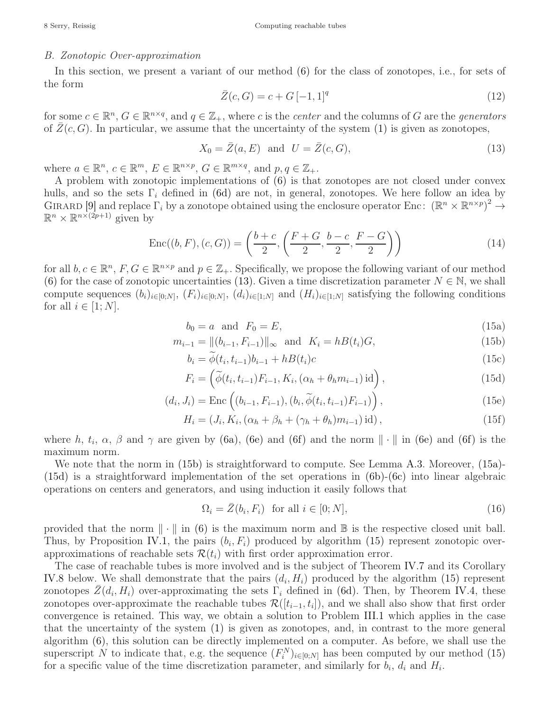# <span id="page-7-0"></span>B. Zonotopic Over-approximation

In this section, we present a variant of our method [\(6\)](#page-4-5) for the class of zonotopes, i.e., for sets of the form

<span id="page-7-10"></span>
$$
\bar{Z}(c,G) = c + G[-1,1]^q
$$
\n(12)

for some  $c \in \mathbb{R}^n$ ,  $G \in \mathbb{R}^{n \times q}$ , and  $q \in \mathbb{Z}_+$ , where c is the center and the columns of G are the generators of  $\bar{Z}(c, G)$ . In particular, we assume that the uncertainty of the system [\(1\)](#page-0-0) is given as zonotopes,

<span id="page-7-1"></span>
$$
X_0 = \overline{Z}(a, E) \quad \text{and} \quad U = \overline{Z}(c, G), \tag{13}
$$

where  $a \in \mathbb{R}^n$ ,  $c \in \mathbb{R}^m$ ,  $E \in \mathbb{R}^{n \times p}$ ,  $G \in \mathbb{R}^{m \times q}$ , and  $p, q \in \mathbb{Z}_+$ .

A problem with zonotopic implementations of [\(6\)](#page-4-5) is that zonotopes are not closed under convex hulls, and so the sets  $\Gamma_i$  defined in [\(6d\)](#page-4-4) are not, in general, zonotopes. We here follow an idea by GIRARD [\[9\]](#page-14-5) and replace  $\Gamma_i$  by a zonotope obtained using the enclosure operator Enc:  $(\mathbb{R}^n \times \mathbb{R}^{n \times p})^2 \to$  $\mathbb{R}^n \times \mathbb{R}^{n \times (2p+1)}$  given by

<span id="page-7-9"></span>Enc
$$
((b, F), (c, G)) = \left(\frac{b+c}{2}, \left(\frac{F+G}{2}, \frac{b-c}{2}, \frac{F-G}{2}\right)\right)
$$
 (14)

for all  $b, c \in \mathbb{R}^n$ ,  $F, G \in \mathbb{R}^{n \times p}$  and  $p \in \mathbb{Z}_+$ . Specifically, we propose the following variant of our method [\(6\)](#page-4-5) for the case of zonotopic uncertainties [\(13\).](#page-7-1) Given a time discretization parameter  $N \in \mathbb{N}$ , we shall compute sequences  $(b_i)_{i\in[0,N]}, (F_i)_{i\in[0,N]}, (d_i)_{i\in[1,N]}$  and  $(H_i)_{i\in[1,N]}$  satisfying the following conditions for all  $i \in [1; N]$ .

$$
b_0 = a \quad \text{and} \quad F_0 = E,\tag{15a}
$$

<span id="page-7-5"></span>
$$
m_{i-1} = ||(b_{i-1}, F_{i-1})||_{\infty} \text{ and } K_i = h(t_i)G,
$$
\n(15b)

<span id="page-7-7"></span><span id="page-7-6"></span><span id="page-7-4"></span><span id="page-7-3"></span><span id="page-7-2"></span>
$$
b_i = \phi(t_i, t_{i-1})b_{i-1} + h(t_i)c
$$
\n(15c)

$$
F_i = \left(\widetilde{\phi}(t_i, t_{i-1}) F_{i-1}, K_i, (\alpha_h + \theta_h m_{i-1}) \operatorname{id}\right),\tag{15d}
$$

$$
(d_i, J_i) = \text{Enc}\left((b_{i-1}, F_{i-1}), (b_i, \widetilde{\phi}(t_i, t_{i-1})F_{i-1})\right),
$$
\n(15e)

$$
H_i = (J_i, K_i, (\alpha_h + \beta_h + (\gamma_h + \theta_h)m_{i-1})\mathrm{id}), \qquad (15f)
$$

where h,  $t_i$ ,  $\alpha$ ,  $\beta$  and  $\gamma$  are given by [\(6a\),](#page-4-1) [\(6e\)](#page-4-6) and [\(6f\)](#page-4-7) and the norm  $\|\cdot\|$  in (6e) and (6f) is the maximum norm.

We note that the norm in [\(15b\)](#page-7-2) is straightforward to compute. See Lemma [A.3.](#page-13-5) Moreover, [\(15a\)-](#page-7-3) [\(15d\)](#page-7-4) is a straightforward implementation of the set operations in [\(6b\)](#page-4-2)[-\(6c\)](#page-4-3) into linear algebraic operations on centers and generators, and using induction it easily follows that

<span id="page-7-8"></span>
$$
\Omega_i = \bar{Z}(b_i, F_i) \quad \text{for all } i \in [0; N], \tag{16}
$$

provided that the norm  $\|\cdot\|$  in [\(6\)](#page-4-5) is the maximum norm and  $\mathbb B$  is the respective closed unit ball. Thus, by Proposition [IV.1,](#page-4-9) the pairs  $(b_i, F_i)$  produced by algorithm [\(15\)](#page-7-5) represent zonotopic overapproximations of reachable sets  $\mathcal{R}(t_i)$  with first order approximation error.

The case of reachable tubes is more involved and is the subject of Theorem [IV.7](#page-8-0) and its Corollary [IV.8](#page-8-1) below. We shall demonstrate that the pairs  $(d_i, H_i)$  produced by the algorithm [\(15\)](#page-7-5) represent zonotopes  $\bar{Z}(d_i, H_i)$  over-approximating the sets  $\Gamma_i$  defined in [\(6d\).](#page-4-4) Then, by Theorem [IV.4,](#page-5-1) these zonotopes over-approximate the reachable tubes  $\mathcal{R}([t_{i-1}, t_i])$ , and we shall also show that first order convergence is retained. This way, we obtain a solution to Problem [III.1](#page-3-5) which applies in the case that the uncertainty of the system [\(1\)](#page-0-0) is given as zonotopes, and, in contrast to the more general algorithm [\(6\),](#page-4-5) this solution can be directly implemented on a computer. As before, we shall use the superscript N to indicate that, e.g. the sequence  $(F_i^N)_{i\in[0,N]}$  has been computed by our method [\(15\)](#page-7-5) for a specific value of the time discretization parameter, and similarly for  $b_i$ ,  $d_i$  and  $H_i$ .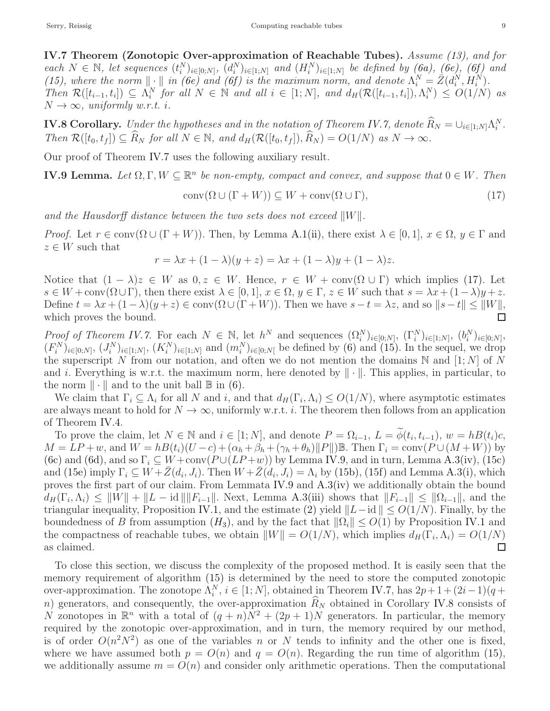<span id="page-8-0"></span>IV.7 Theorem (Zonotopic Over-approximation of Reachable Tubes). Assume [\(13\),](#page-7-1) and for each  $N \in \mathbb{N}$ , let sequences  $(t_i^N)_{i \in [0,N]}$ ,  $(d_i^N)_{i \in [1,N]}$  and  $(H_i^N)_{i \in [1,N]}$  be defined by  $(6a)$ ,  $(6e)$ ,  $(6f)$  and [\(15\),](#page-7-5) where the norm  $\|\cdot\|$  in [\(6e\)](#page-4-6) and (6f) is the maximum norm, and denote  $\Lambda_i^N = \overline{Z}(d_i^N, H_i^N)$ . Then  $\mathcal{R}([t_{i-1}, t_i]) \subseteq \Lambda_i^N$  for all  $N \in \mathbb{N}$  and all  $i \in [1, N]$ , and  $d_H(\mathcal{R}([t_{i-1}, t_i]), \Lambda_i^N) \leq O(1/N)$  as  $N \rightarrow \infty$ , uniformly w.r.t. i.

<span id="page-8-1"></span>**IV.8 Corollary.** Under the hypotheses and in the notation of Theorem [IV.7,](#page-8-0) denote  $\widehat{R}_N = \cup_{i \in [1;N]} \Lambda_i^N$ . Then  $\mathcal{R}([t_0, t_f]) \subseteq \widehat{R}_N$  for all  $N \in \mathbb{N}$ , and  $d_H(\mathcal{R}([t_0, t_f]), \widehat{R}_N) = O(1/N)$  as  $N \to \infty$ .

Our proof of Theorem [IV.7](#page-8-0) uses the following auxiliary result.

<span id="page-8-3"></span>**IV.9 Lemma.** Let  $\Omega, \Gamma, W \subseteq \mathbb{R}^n$  be non-empty, compact and convex, and suppose that  $0 \in W$ . Then

<span id="page-8-2"></span>
$$
conv(\Omega \cup (\Gamma + W)) \subseteq W + conv(\Omega \cup \Gamma), \tag{17}
$$

and the Hausdorff distance between the two sets does not exceed  $||W||$ .

*Proof.* Let  $r \in \text{conv}(\Omega \cup (\Gamma + W))$ . Then, by Lemma [A.1](#page-12-0)[\(ii\),](#page-12-1) there exist  $\lambda \in [0, 1], x \in \Omega, y \in \Gamma$  and  $z \in W$  such that

$$
r = \lambda x + (1 - \lambda)(y + z) = \lambda x + (1 - \lambda)y + (1 - \lambda)z.
$$

Notice that  $(1 - \lambda)z \in W$  as  $0, z \in W$ . Hence,  $r \in W + \text{conv}(\Omega \cup \Gamma)$  which implies [\(17\).](#page-8-2) Let  $s \in W + conv(\Omega \cup \Gamma)$ , then there exist  $\lambda \in [0,1]$ ,  $x \in \Omega$ ,  $y \in \Gamma$ ,  $z \in W$  such that  $s = \lambda x + (1-\lambda)y + z$ . Define  $t = \lambda x + (1 - \lambda)(y + z) \in \text{conv}(\Omega \cup (\Gamma + W))$ . Then we have  $s - t = \lambda z$ , and so  $\|s - t\| \leq \|W\|$ , which proves the bound.  $\Box$ 

Proof of Theorem [IV.7.](#page-8-0) For each  $N \in \mathbb{N}$ , let  $h^N$  and sequences  $(\Omega_i^N)_{i \in [0,N]}, (\Gamma_i^N)_{i \in [1,N]}, (b_i^N)_{i \in [0,N]},$  $(F_i^N)_{i\in[0,N]}, (J_i^N)_{i\in[1,N]}, (K_i^N)_{i\in[1,N]}$  and  $(m_i^N)_{i\in[0,N]}$  be defined by [\(6\)](#page-4-5) and [\(15\).](#page-7-5) In the sequel, we drop the superscript N from our notation, and often we do not mention the domains N and [1; N] of N and i. Everything is w.r.t. the maximum norm, here denoted by  $\|\cdot\|$ . This applies, in particular, to the norm  $\|\cdot\|$  and to the unit ball  $\mathbb B$  in [\(6\).](#page-4-5)

We claim that  $\Gamma_i \subseteq \Lambda_i$  for all N and i, and that  $d_H(\Gamma_i, \Lambda_i) \leq O(1/N)$ , where asymptotic estimates are always meant to hold for  $N \to \infty$ , uniformly w.r.t. *i*. The theorem then follows from an application of Theorem [IV.4.](#page-5-1)

To prove the claim, let  $N \in \mathbb{N}$  and  $i \in [1; N]$ , and denote  $P = \Omega_{i-1}$ ,  $L = \widetilde{\phi}(t_i, t_{i-1})$ ,  $w = h(t_i)c$ ,  $M = LP + w$ , and  $W = hB(t_i)(U - c) + (\alpha_h + \beta_h + (\gamma_h + \theta_h) ||P||) \mathbb{B}$ . Then  $\Gamma_i = \text{conv}(P \cup (M + W))$  by [\(6c\)](#page-4-3) and [\(6d\),](#page-4-4) and so  $\Gamma_i \subset W + \text{conv}(P \cup (LP+w))$  by Lemma [IV.9,](#page-8-3) and in turn, Lemma [A.3](#page-13-5)[\(iv\),](#page-13-6) [\(15c\)](#page-7-6) and [\(15e\)](#page-7-7) imply  $\Gamma_i \subseteq W + \bar{Z}(d_i, J_i)$ . Then  $W + \bar{Z}(d_i, J_i) = \Lambda_i$  by [\(15b\),](#page-7-2) [\(15f\)](#page-7-8) and Lemma [A.3](#page-13-5)[\(i\),](#page-13-7) which proves the first part of our claim. From Lemmata [IV.9](#page-8-3) and [A.3](#page-13-5)[\(iv\)](#page-13-6) we additionally obtain the bound  $d_H(\Gamma_i, \Lambda_i) \leq ||W|| + ||L - \text{id}|| ||F_{i-1}||.$  Next, Lemma [A.3](#page-13-5)[\(iii\)](#page-13-8) shows that  $||F_{i-1}|| \leq ||\Omega_{i-1}||$ , and the triangular inequality, Proposition [IV.1,](#page-4-9) and the estimate [\(2\)](#page-2-0) yield  $||L-\text{id}|| \leq O(1/N)$ . Finally, by the boundedness of B from assumption  $(H_3)$  $(H_3)$  $(H_3)$ , and by the fact that  $||\Omega_i|| \leq O(1)$  by Proposition [IV.1](#page-4-9) and the compactness of reachable tubes, we obtain  $||W|| = O(1/N)$ , which implies  $d_H(\Gamma_i, \Lambda_i) = O(1/N)$ as claimed.  $\Box$ 

To close this section, we discuss the complexity of the proposed method. It is easily seen that the memory requirement of algorithm [\(15\)](#page-7-5) is determined by the need to store the computed zonotopic over-approximation. The zonotope  $\Lambda_i^N$ ,  $i \in [1; N]$ , obtained in Theorem [IV.7,](#page-8-0) has  $2p+1+(2i-1)(q+1)$ n) generators, and consequently, the over-approximation  $\widehat{R}_N$  obtained in Corollary [IV.8](#page-8-1) consists of N zonotopes in  $\mathbb{R}^n$  with a total of  $(q+n)N^2 + (2p+1)N$  generators. In particular, the memory required by the zonotopic over-approximation, and in turn, the memory required by our method, is of order  $O(n^2N^2)$  as one of the variables n or N tends to infinity and the other one is fixed, where we have assumed both  $p = O(n)$  and  $q = O(n)$ . Regarding the run time of algorithm [\(15\),](#page-7-5) we additionally assume  $m = O(n)$  and consider only arithmetic operations. Then the computational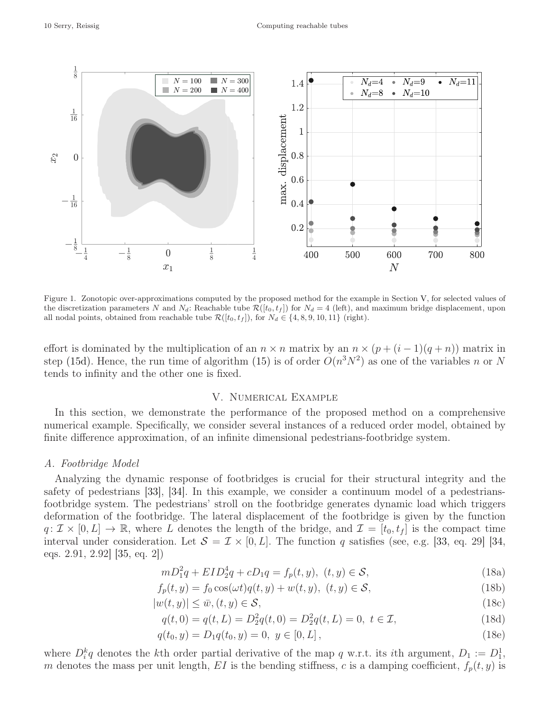

<span id="page-9-5"></span>Figure 1. Zonotopic over-approximations computed by the proposed method for the example in Section [V,](#page-9-0) for selected values of the discretization parameters N and  $N_d$ : Reachable tube  $\mathcal{R}([t_0, t_f])$  for  $N_d = 4$  (left), and maximum bridge displacement, upon all nodal points, obtained from reachable tube  $\mathcal{R}([t_0, t_f])$ , for  $N_d \in \{4, 8, 9, 10, 11\}$  (right).

effort is dominated by the multiplication of an  $n \times n$  matrix by an  $n \times (p + (i - 1)(q + n))$  matrix in step [\(15d\).](#page-7-4) Hence, the run time of algorithm [\(15\)](#page-7-5) is of order  $O(n^3N^2)$  as one of the variables n or N tends to infinity and the other one is fixed.

## <span id="page-9-2"></span>V. Numerical Example

<span id="page-9-0"></span>In this section, we demonstrate the performance of the proposed method on a comprehensive numerical example. Specifically, we consider several instances of a reduced order model, obtained by finite difference approximation, of an infinite dimensional pedestrians-footbridge system.

#### A. Footbridge Model

Analyzing the dynamic response of footbridges is crucial for their structural integrity and the safety of pedestrians [\[33\]](#page-15-2), [\[34\]](#page-15-3). In this example, we consider a continuum model of a pedestriansfootbridge system. The pedestrians' stroll on the footbridge generates dynamic load which triggers deformation of the footbridge. The lateral displacement of the footbridge is given by the function  $q: \mathcal{I} \times [0,L] \to \mathbb{R}$ , where L denotes the length of the bridge, and  $\mathcal{I} = [t_0, t_f]$  is the compact time interval under consideration. Let  $S = \mathcal{I} \times [0, L]$ . The function q satisfies (see, e.g. [\[33,](#page-15-2) eq. 29] [\[34,](#page-15-3) eqs. 2.91, 2.92] [\[35,](#page-15-4) eq. 2])

<span id="page-9-1"></span>
$$
mD_1^2q + EID_2^4q + cD_1q = f_p(t, y), \ (t, y) \in \mathcal{S},\tag{18a}
$$

$$
f_p(t, y) = f_0 \cos(\omega t) q(t, y) + w(t, y), \ (t, y) \in \mathcal{S},\tag{18b}
$$

$$
|w(t, y)| \le \bar{w}, (t, y) \in \mathcal{S},\tag{18c}
$$

$$
q(t,0) = q(t,L) = D_2^2 q(t,0) = D_2^2 q(t,L) = 0, \ t \in \mathcal{I},\tag{18d}
$$

<span id="page-9-4"></span><span id="page-9-3"></span>
$$
q(t_0, y) = D_1 q(t_0, y) = 0, \ y \in [0, L], \tag{18e}
$$

where  $D_i^k q$  denotes the kth order partial derivative of the map q w.r.t. its ith argument,  $D_1 := D_1^1$ , m denotes the mass per unit length, EI is the bending stiffness, c is a damping coefficient,  $f_p(t, y)$  is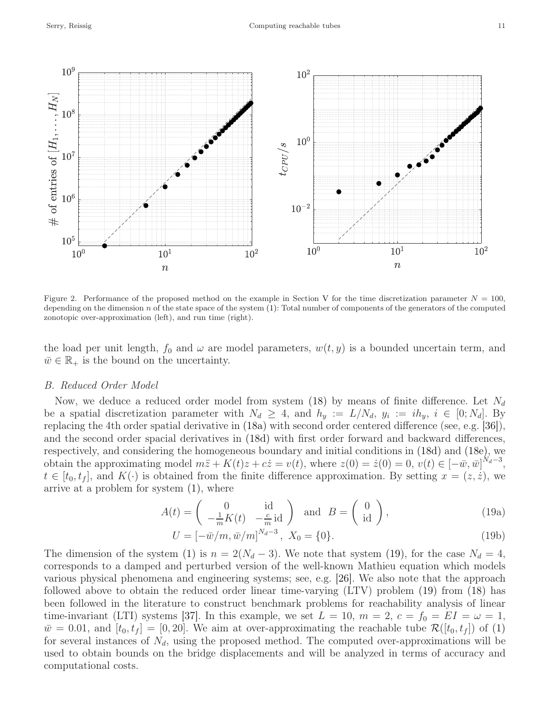

<span id="page-10-2"></span>Figure 2. Performance of the proposed method on the example in Section [V](#page-9-0) for the time discretization parameter  $N = 100$ , depending on the dimension  $n$  of the state space of the system  $(1)$ : Total number of components of the generators of the computed zonotopic over-approximation (left), and run time (right).

the load per unit length,  $f_0$  and  $\omega$  are model parameters,  $w(t, y)$  is a bounded uncertain term, and  $\bar{w} \in \mathbb{R}_+$  is the bound on the uncertainty.

## B. Reduced Order Model

Now, we deduce a reduced order model from system [\(18\)](#page-9-1) by means of finite difference. Let  $N_d$ be a spatial discretization parameter with  $N_d \geq 4$ , and  $h_y := L/N_d$ ,  $y_i := ih_y$ ,  $i \in [0; N_d]$ . By replacing the 4th order spatial derivative in [\(18a\)](#page-9-2) with second order centered difference (see, e.g. [\[36\]](#page-15-5)), and the second order spacial derivatives in [\(18d\)](#page-9-3) with first order forward and backward differences, respectively, and considering the homogeneous boundary and initial conditions in [\(18d\)](#page-9-3) and [\(18e\),](#page-9-4) we obtain the approximating model  $m\ddot{z} + K(t)z + c\dot{z} = v(t)$ , where  $z(0) = \dot{z}(0) = 0$ ,  $v(t) \in [-\bar{w}, \bar{w}]^{N_d-3}$ ,  $t \in [t_0, t_f],$  and  $K(\cdot)$  is obtained from the finite difference approximation. By setting  $x = (z, \dot{z}),$  we arrive at a problem for system [\(1\),](#page-0-0) where

<span id="page-10-0"></span>
$$
A(t) = \begin{pmatrix} 0 & \text{id} \\ -\frac{1}{m}K(t) & -\frac{c}{m}\text{id} \end{pmatrix} \quad \text{and} \quad B = \begin{pmatrix} 0 \\ \text{id} \end{pmatrix},\tag{19a}
$$

<span id="page-10-1"></span>
$$
U = [-\bar{w}/m, \bar{w}/m]^{N_d - 3}, X_0 = \{0\}.
$$
 (19b)

The dimension of the system [\(1\)](#page-0-0) is  $n = 2(N_d - 3)$ . We note that system [\(19\),](#page-10-0) for the case  $N_d = 4$ , corresponds to a damped and perturbed version of the well-known Mathieu equation which models various physical phenomena and engineering systems; see, e.g. [\[26\]](#page-14-18). We also note that the approach followed above to obtain the reduced order linear time-varying (LTV) problem [\(19\)](#page-10-0) from [\(18\)](#page-9-1) has been followed in the literature to construct benchmark problems for reachability analysis of linear time-invariant (LTI) systems [\[37\]](#page-15-6). In this example, we set  $L = 10$ ,  $m = 2$ ,  $c = f_0 = EI = \omega = 1$ ,  $\bar{w}=0.01$ , and  $[t_0, t_f] = [0, 20]$ . We aim at over-approximating the reachable tube  $\mathcal{R}([t_0, t_f])$  of [\(1\)](#page-0-0) for several instances of  $N_d$ , using the proposed method. The computed over-approximations will be used to obtain bounds on the bridge displacements and will be analyzed in terms of accuracy and computational costs.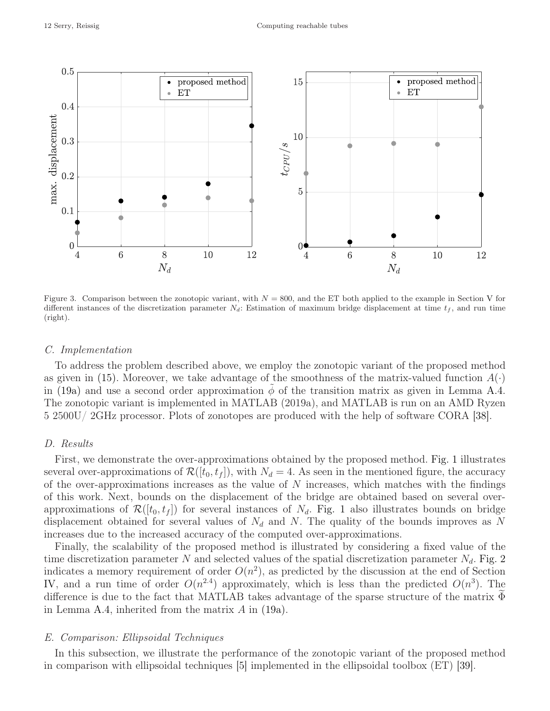

<span id="page-11-0"></span>Figure 3. Comparison between the zonotopic variant, with  $N = 800$ , and the ET both applied to the example in Section [V](#page-9-0) for different instances of the discretization parameter  $N_d$ : Estimation of maximum bridge displacement at time  $t_f$ , and run time (right).

## C. Implementation

To address the problem described above, we employ the zonotopic variant of the proposed method as given in [\(15\).](#page-7-5) Moreover, we take advantage of the smoothness of the matrix-valued function  $A(\cdot)$ in [\(19a\)](#page-10-1) and use a second order approximation  $\phi$  of the transition matrix as given in Lemma [A.4.](#page-13-0) The zonotopic variant is implemented in MATLAB (2019a), and MATLAB is run on an AMD Ryzen 5 2500U/ 2GHz processor. Plots of zonotopes are produced with the help of software CORA [\[38\]](#page-15-7).

# D. Results

First, we demonstrate the over-approximations obtained by the proposed method. [Fig. 1](#page-9-5) illustrates several over-approximations of  $\mathcal{R}([t_0, t_f])$ , with  $N_d = 4$ . As seen in the mentioned figure, the accuracy of the over-approximations increases as the value of  $N$  increases, which matches with the findings of this work. Next, bounds on the displacement of the bridge are obtained based on several overapproximations of  $\mathcal{R}([t_0, t_f])$  for several instances of  $N_d$ . [Fig. 1](#page-9-5) also illustrates bounds on bridge displacement obtained for several values of  $N_d$  and N. The quality of the bounds improves as N increases due to the increased accuracy of the computed over-approximations.

Finally, the scalability of the proposed method is illustrated by considering a fixed value of the time discretization parameter N and selected values of the spatial discretization parameter  $N_d$ . [Fig. 2](#page-10-2) indicates a memory requirement of order  $O(n^2)$ , as predicted by the discussion at the end of Section [IV,](#page-3-9) and a run time of order  $O(n^{2.4})$  approximately, which is less than the predicted  $O(n^3)$ . The difference is due to the fact that MATLAB takes advantage of the sparse structure of the matrix  $\Phi$ in Lemma [A.4,](#page-13-0) inherited from the matrix  $A$  in [\(19a\).](#page-10-1)

## E. Comparison: Ellipsoidal Techniques

In this subsection, we illustrate the performance of the zonotopic variant of the proposed method in comparison with ellipsoidal techniques [\[5\]](#page-14-4) implemented in the ellipsoidal toolbox (ET) [\[39\]](#page-15-8).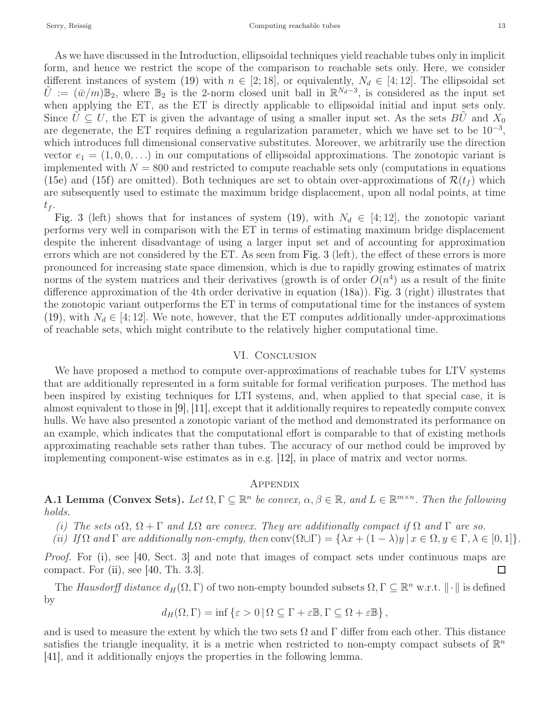As we have discussed in the Introduction, ellipsoidal techniques yield reachable tubes only in implicit form, and hence we restrict the scope of the comparison to reachable sets only. Here, we consider different instances of system [\(19\)](#page-10-0) with  $n \in [2, 18]$ , or equivalently,  $N_d \in [4, 12]$ . The ellipsoidal set  $\tilde{U} := (\bar{w}/m)\mathbb{B}_2$ , where  $\mathbb{B}_2$  is the 2-norm closed unit ball in  $\mathbb{R}^{N_d-3}$ , is considered as the input set when applying the ET, as the ET is directly applicable to ellipsoidal initial and input sets only. Since  $U \subseteq U$ , the ET is given the advantage of using a smaller input set. As the sets BU and  $X_0$ are degenerate, the ET requires defining a regularization parameter, which we have set to be 10<sup>-3</sup>, which introduces full dimensional conservative substitutes. Moreover, we arbitrarily use the direction vector  $e_1 = (1, 0, 0, \ldots)$  in our computations of ellipsoidal approximations. The zonotopic variant is implemented with  $N = 800$  and restricted to compute reachable sets only (computations in equations [\(15e\)](#page-7-7) and [\(15f\)](#page-7-8) are omitted). Both techniques are set to obtain over-approximations of  $\mathcal{R}(t_f)$  which are subsequently used to estimate the maximum bridge displacement, upon all nodal points, at time  $t_f$ .

[Fig. 3](#page-11-0) (left) shows that for instances of system [\(19\),](#page-10-0) with  $N_d \in [4, 12]$ , the zonotopic variant performs very well in comparison with the ET in terms of estimating maximum bridge displacement despite the inherent disadvantage of using a larger input set and of accounting for approximation errors which are not considered by the ET. As seen from [Fig. 3](#page-11-0) (left), the effect of these errors is more pronounced for increasing state space dimension, which is due to rapidly growing estimates of matrix norms of the system matrices and their derivatives (growth is of order  $O(n^4)$  as a result of the finite difference approximation of the 4th order derivative in equation [\(18a\)\)](#page-9-2). [Fig. 3](#page-11-0) (right) illustrates that the zonotopic variant outperforms the ET in terms of computational time for the instances of system [\(19\),](#page-10-0) with  $N_d \in [4, 12]$ . We note, however, that the ET computes additionally under-approximations of reachable sets, which might contribute to the relatively higher computational time.

## VI. CONCLUSION

We have proposed a method to compute over-approximations of reachable tubes for LTV systems that are additionally represented in a form suitable for formal verification purposes. The method has been inspired by existing techniques for LTI systems, and, when applied to that special case, it is almost equivalent to those in [\[9\]](#page-14-5), [\[11\]](#page-14-9), except that it additionally requires to repeatedly compute convex hulls. We have also presented a zonotopic variant of the method and demonstrated its performance on an example, which indicates that the computational effort is comparable to that of existing methods approximating reachable sets rather than tubes. The accuracy of our method could be improved by implementing component-wise estimates as in e.g. [\[12\]](#page-14-23), in place of matrix and vector norms.

# **APPENDIX**

<span id="page-12-2"></span><span id="page-12-0"></span>**A.1 Lemma (Convex Sets).** Let  $\Omega, \Gamma \subseteq \mathbb{R}^n$  be convex,  $\alpha, \beta \in \mathbb{R}$ , and  $L \in \mathbb{R}^{m \times n}$ . Then the following holds.

- <span id="page-12-1"></span>(i) The sets  $\alpha\Omega$ ,  $\Omega + \Gamma$  and  $L\Omega$  are convex. They are additionally compact if  $\Omega$  and  $\Gamma$  are so.
- (ii) If  $\Omega$  and  $\Gamma$  are additionally non-empty, then conv $(\Omega \cup \Gamma) = {\lambda x + (1 \lambda)y \mid x \in \Omega, y \in \Gamma, \lambda \in [0,1]}$ .

Proof. For [\(i\),](#page-12-2) see [\[40,](#page-15-9) Sect. 3] and note that images of compact sets under continuous maps are compact. For [\(ii\),](#page-12-1) see [\[40,](#page-15-9) Th. 3.3].  $\Box$ 

The Hausdorff distance  $d_H(\Omega, \Gamma)$  of two non-empty bounded subsets  $\Omega, \Gamma \subseteq \mathbb{R}^n$  w.r.t.  $\|\cdot\|$  is defined by

$$
d_H(\Omega, \Gamma) = \inf \{ \varepsilon > 0 \, | \, \Omega \subseteq \Gamma + \varepsilon \mathbb{B}, \Gamma \subseteq \Omega + \varepsilon \mathbb{B} \},
$$

and is used to measure the extent by which the two sets  $\Omega$  and  $\Gamma$  differ from each other. This distance satisfies the triangle inequality, it is a metric when restricted to non-empty compact subsets of  $\mathbb{R}^n$ [\[41\]](#page-15-10), and it additionally enjoys the properties in the following lemma.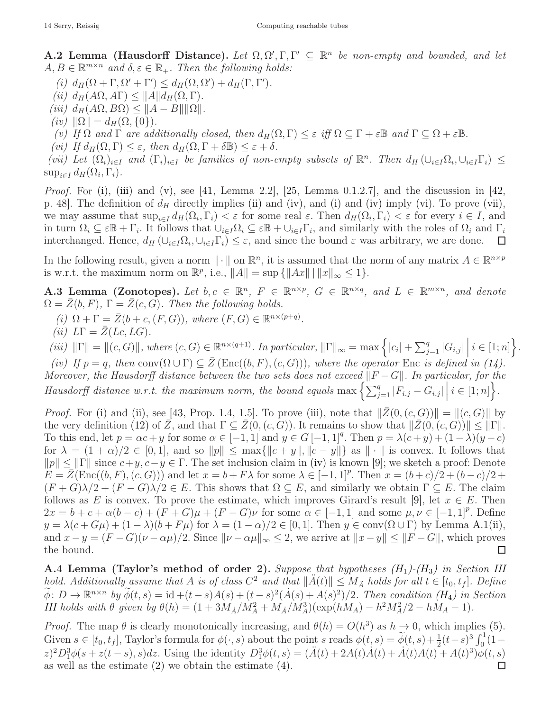<span id="page-13-9"></span><span id="page-13-1"></span>A.2 Lemma (Hausdorff Distance). Let  $\Omega, \Omega', \Gamma, \Gamma' \subseteq \mathbb{R}^n$  be non-empty and bounded, and let  $A, B \in \mathbb{R}^{m \times n}$  and  $\delta, \varepsilon \in \mathbb{R}_+$ . Then the following holds:

- <span id="page-13-10"></span>(i)  $d_H(\Omega + \Gamma, \Omega' + \Gamma') \leq d_H(\Omega, \Omega') + d_H(\Gamma, \Gamma').$
- <span id="page-13-3"></span>(ii)  $d_H(A\Omega, A\Gamma) \leq ||A|| d_H(\Omega, \Gamma).$
- <span id="page-13-11"></span>(iii)  $d_H(A\Omega, B\Omega) \leq ||A - B|| ||\Omega||.$
- <span id="page-13-2"></span> $(iv)$   $\|\Omega\| = d_H(\Omega, \{0\}).$
- <span id="page-13-12"></span>(v) If  $\Omega$  and  $\Gamma$  are additionally closed, then  $d_H(\Omega, \Gamma) \leq \varepsilon$  iff  $\Omega \subseteq \Gamma + \varepsilon \mathbb{B}$  and  $\Gamma \subseteq \Omega + \varepsilon \mathbb{B}$ .
- <span id="page-13-4"></span>(vi) If  $d_H(\Omega, \Gamma) \leq \varepsilon$ , then  $d_H(\Omega, \Gamma + \delta \mathbb{B}) \leq \varepsilon + \delta$ .

(vii) Let  $(\Omega_i)_{i\in I}$  and  $(\Gamma_i)_{i\in I}$  be families of non-empty subsets of  $\mathbb{R}^n$ . Then  $d_H(\cup_{i\in I}\Omega_i,\cup_{i\in I}\Gamma_i) \leq$  $\sup_{i\in I} d_H(\Omega_i, \Gamma_i).$ 

*Proof.* For [\(i\),](#page-13-9) [\(iii\)](#page-13-3) and [\(v\),](#page-13-2) see [\[41,](#page-15-10) Lemma 2.2], [\[25,](#page-14-6) Lemma 0.1.2.7], and the discussion in [\[42,](#page-15-11) p. 48. The definition of  $d_H$  directly implies [\(ii\)](#page-13-10) and [\(iv\),](#page-13-11) and [\(i\)](#page-13-9) and [\(iv\)](#page-13-11) imply [\(vi\).](#page-13-12) To prove [\(vii\),](#page-13-4) we may assume that  $\sup_{i\in I} d_H(\Omega_i, \Gamma_i) < \varepsilon$  for some real  $\varepsilon$ . Then  $d_H(\Omega_i, \Gamma_i) < \varepsilon$  for every  $i \in I$ , and in turn  $\Omega_i \subseteq \varepsilon \mathbb{B} + \Gamma_i$ . It follows that  $\cup_{i \in I} \Omega_i \subseteq \varepsilon \mathbb{B} + \cup_{i \in I} \Gamma_i$ , and similarly with the roles of  $\Omega_i$  and  $\Gamma_i$ interchanged. Hence,  $d_H(\cup_{i\in I}\Omega_i, \cup_{i\in I}\Gamma_i) \leq \varepsilon$ , and since the bound  $\varepsilon$  was arbitrary, we are done.  $\Box$ 

In the following result, given a norm  $\|\cdot\|$  on  $\mathbb{R}^n$ , it is assumed that the norm of any matrix  $A \in \mathbb{R}^{n \times p}$ is w.r.t. the maximum norm on  $\mathbb{R}^p$ , i.e.,  $||A|| = \sup \{||Ax|| \mid ||x||_{\infty} \leq 1\}.$ 

<span id="page-13-5"></span>**A.3 Lemma (Zonotopes).** Let  $b, c \in \mathbb{R}^n$ ,  $F \in \mathbb{R}^{n \times p}$ ,  $G \in \mathbb{R}^{n \times q}$ , and  $L \in \mathbb{R}^{m \times n}$ , and denote  $\Omega = \overline{Z}(b, F), \Gamma = \overline{Z}(c, G)$ . Then the following holds.

- <span id="page-13-13"></span><span id="page-13-7"></span>(i)  $\Omega + \Gamma = \overline{Z}(b + c, (F, G))$ , where  $(F, G) \in \mathbb{R}^{n \times (p+q)}$ .
- <span id="page-13-8"></span>(ii)  $L\Gamma = \overline{Z}(Lc, LG).$

(iii)  $\|\Gamma\| = \|(c, G)\|$ , where  $(c, G) \in \mathbb{R}^{n \times (q+1)}$ . In particular,  $\|\Gamma\|_{\infty} = \max\left\{|c_i| + \sum_{j=1}^q |G_{i,j}|\,\bigg|\,i \in [1; n]\right\}$ .

<span id="page-13-6"></span>(iv) If  $p = q$ , then conv $(\Omega \cup \Gamma) \subseteq Z(\text{Enc}((b, F), (c, G))),$  where the operator Enc is defined in [\(14\).](#page-7-9) Moreover, the Hausdorff distance between the two sets does not exceed  $\|F - G\|$ . In particular, for the Hausdorff distance w.r.t. the maximum norm, the bound equals  $\max\left\{\sum_{j=1}^{n} |F_{i,j} - G_{i,j}| \mid i \in [1; n]\right\}$ .

*Proof.* For [\(i\)](#page-13-7) and [\(ii\),](#page-13-13) see [\[43,](#page-15-12) Prop. 1.4, 1.5]. To prove [\(iii\),](#page-13-8) note that  $\|\bar{Z}(0,(c,G))\| = \|(c,G)\|$  by the very definition [\(12\)](#page-7-10) of  $\overline{Z}$ , and that  $\Gamma \subseteq \overline{Z}(0,(c,G))$ . It remains to show that  $\|\overline{Z}(0,(c,G))\| \leq \|\Gamma\|$ . To this end, let  $p = \alpha c + y$  for some  $\alpha \in [-1, 1]$  and  $y \in G[-1, 1]^q$ . Then  $p = \lambda(c + y) + (1 - \lambda)(y - c)$ for  $\lambda = (1 + \alpha)/2 \in [0, 1]$ , and so  $||p|| \le \max{||c + y||, ||c - y||}$  as  $|| \cdot ||$  is convex. It follows that  $||p|| \le ||\Gamma||$  since  $c+y, c-y \in \Gamma$ . The set inclusion claim in [\(iv\)](#page-13-6) is known [\[9\]](#page-14-5); we sketch a proof: Denote  $E = \overline{Z}(\text{Enc}((b, F), (c, G)))$  and let  $x = b + F\lambda$  for some  $\lambda \in [-1, 1]^p$ . Then  $x = (b+c)/2 + (b-c)/2 +$  $(F+G)\lambda/2 + (F-G)\lambda/2 \in E$ . This shows that  $\Omega \subseteq E$ , and similarly we obtain  $\Gamma \subseteq E$ . The claim follows as E is convex. To prove the estimate, which improves Girard's result [\[9\]](#page-14-5), let  $x \in E$ . Then  $2x = b + c + \alpha(b - c) + (F + G)\mu + (F - G)\nu$  for some  $\alpha \in [-1, 1]$  and some  $\mu, \nu \in [-1, 1]^p$ . Define  $y = \lambda(c + G\mu) + (1 - \lambda)(b + F\mu)$  for  $\lambda = (1 - \alpha)/2 \in [0, 1]$ . Then  $y \in \text{conv}(\Omega \cup \Gamma)$  by Lemma [A.1](#page-12-0)[\(ii\),](#page-12-1) and  $x - y = (F - G)(\nu - \alpha \mu)/2$ . Since  $\|\nu - \alpha \mu\|_{\infty} \leq 2$ , we arrive at  $\|x - y\| \leq \|F - G\|$ , which proves the bound.  $\Box$ 

<span id="page-13-0"></span>**A.4 Lemma (Taylor's method of order 2).** Suppose that hypotheses  $(H_1)$  $(H_1)$  $(H_1)$ - $(H_3)$  in Section [III](#page-3-0) hold. Additionally assume that A is of class  $C^2$  and that  $\|\ddot{A}(t)\| \leq M_{\ddot{A}}$  holds for all  $t \in [t_0, t_f]$ . Define  $\widetilde{\phi}: D \to \mathbb{R}^{n \times n}$  by  $\widetilde{\phi}(t,s) = \mathrm{id} + (t-s)A(s) + (t-s)^2(\dot{A}(s) + A(s)^2)/2$ . Then condition ([H](#page-3-1)<sub>4</sub>) in Section [III](#page-3-0) holds with  $\theta$  given by  $\theta(h) = (1 + 3M_{\AA}/M_A^2 + M_{\AA}/M_A^3)(\exp(hM_A) - h^2M_A^2/2 - hM_A - 1)$ .

*Proof.* The map  $\theta$  is clearly monotonically increasing, and  $\theta(h) = O(h^3)$  as  $h \to 0$ , which implies [\(5\).](#page-3-4) Given  $s \in [t_0, t_f]$ , Taylor's formula for  $\phi(\cdot, s)$  about the point s reads  $\phi(t, s) = \tilde{\phi}(t, s) + \frac{1}{2}(t - s)^3 \int_0^1 (1 - t^2)^{-3} \phi(t, s) dt$ z)<sup>2</sup> $D_1^3 \phi(s + z(t-s), s)$ dz. Using the identity  $D_1^3 \phi(t, s) = (\ddot{A}(t) + 2A(t)\dot{A}(t) + \dot{A}(t)A(t) + A(t)^3)\ddot{\phi}(t, s)$ as well as the estimate  $(2)$  we obtain the estimate  $(4)$ .  $\Box$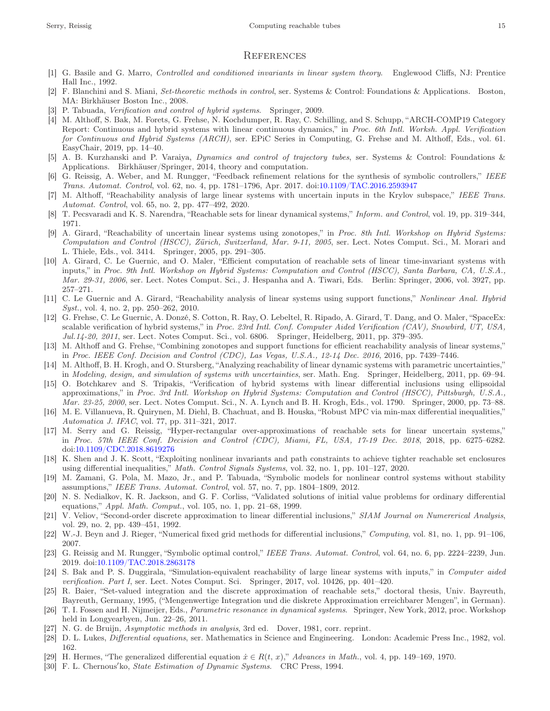#### **REFERENCES**

- <span id="page-14-0"></span>[1] G. Basile and G. Marro, Controlled and conditioned invariants in linear system theory. Englewood Cliffs, NJ: Prentice Hall Inc., 1992.
- [2] F. Blanchini and S. Miani, Set-theoretic methods in control, ser. Systems & Control: Foundations & Applications. Boston, MA: Birkhäuser Boston Inc., 2008.
- <span id="page-14-2"></span>[3] P. Tabuada, Verification and control of hybrid systems. Springer, 2009.
- [4] M. Althoff, S. Bak, M. Forets, G. Frehse, N. Kochdumper, R. Ray, C. Schilling, and S. Schupp, "ARCH-COMP19 Category Report: Continuous and hybrid systems with linear continuous dynamics," in Proc. 6th Intl. Worksh. Appl. Verification for Continuous and Hybrid Systems (ARCH), ser. EPiC Series in Computing, G. Frehse and M. Althoff, Eds., vol. 61. EasyChair, 2019, pp. 14–40.
- <span id="page-14-4"></span>[5] A. B. Kurzhanski and P. Varaiya, Dynamics and control of trajectory tubes, ser. Systems & Control: Foundations & Applications. Birkhäuser/Springer, 2014, theory and computation.
- <span id="page-14-13"></span>[6] G. Reissig, A. Weber, and M. Rungger, "Feedback refinement relations for the synthesis of symbolic controllers," IEEE Trans. Automat. Control, vol. 62, no. 4, pp. 1781–1796, Apr. 2017. doi[:10.1109/TAC.2016.2593947](https://doi.org/10.1109/TAC.2016.2593947)
- <span id="page-14-1"></span>[7] M. Althoff, "Reachability analysis of large linear systems with uncertain inputs in the Krylov subspace," IEEE Trans. Automat. Control, vol. 65, no. 2, pp. 477–492, 2020.
- <span id="page-14-5"></span><span id="page-14-3"></span>[8] T. Pecsvaradi and K. S. Narendra, "Reachable sets for linear dynamical systems," Inform. and Control, vol. 19, pp. 319–344, 1971.
- [9] A. Girard, "Reachability of uncertain linear systems using zonotopes," in Proc. 8th Intl. Workshop on Hybrid Systems: Computation and Control (HSCC), Zürich, Switzerland, Mar. 9-11, 2005, ser. Lect. Notes Comput. Sci., M. Morari and L. Thiele, Eds., vol. 3414. Springer, 2005, pp. 291–305.
- <span id="page-14-7"></span>[10] A. Girard, C. Le Guernic, and O. Maler, "Efficient computation of reachable sets of linear time-invariant systems with inputs," in Proc. 9th Intl. Workshop on Hybrid Systems: Computation and Control (HSCC), Santa Barbara, CA, U.S.A., Mar. 29-31, 2006, ser. Lect. Notes Comput. Sci., J. Hespanha and A. Tiwari, Eds. Berlin: Springer, 2006, vol. 3927, pp. 257–271.
- <span id="page-14-9"></span>[11] C. Le Guernic and A. Girard, "Reachability analysis of linear systems using support functions," Nonlinear Anal. Hybrid Syst., vol. 4, no. 2, pp. 250–262, 2010.
- <span id="page-14-23"></span>[12] G. Frehse, C. Le Guernic, A. Donzé, S. Cotton, R. Ray, O. Lebeltel, R. Ripado, A. Girard, T. Dang, and O. Maler, "SpaceEx: scalable verification of hybrid systems," in Proc. 23rd Intl. Conf. Computer Aided Verification (CAV), Snowbird, UT, USA, Jul.14-20, 2011, ser. Lect. Notes Comput. Sci., vol. 6806. Springer, Heidelberg, 2011, pp. 379–395.
- <span id="page-14-8"></span>[13] M. Althoff and G. Frehse, "Combining zonotopes and support functions for efficient reachability analysis of linear systems," in Proc. IEEE Conf. Decision and Control (CDC), Las Vegas, U.S.A., 12-14 Dec. 2016, 2016, pp. 7439–7446.
- <span id="page-14-10"></span>[14] M. Althoff, B. H. Krogh, and O. Stursberg, "Analyzing reachability of linear dynamic systems with parametric uncertainties," in Modeling, design, and simulation of systems with uncertainties, ser. Math. Eng. Springer, Heidelberg, 2011, pp. 69–94.
- <span id="page-14-11"></span>[15] O. Botchkarev and S. Tripakis, "Verification of hybrid systems with linear differential inclusions using ellipsoidal approximations," in Proc. 3rd Intl. Workshop on Hybrid Systems: Computation and Control (HSCC), Pittsburgh, U.S.A., Mar. 23-25, 2000, ser. Lect. Notes Comput. Sci., N. A. Lynch and B. H. Krogh, Eds., vol. 1790. Springer, 2000, pp. 73–88.
- <span id="page-14-12"></span>[16] M. E. Villanueva, R. Quirynen, M. Diehl, B. Chachuat, and B. Houska, "Robust MPC via min-max differential inequalities," Automatica J. IFAC, vol. 77, pp. 311–321, 2017.
- <span id="page-14-14"></span>[17] M. Serry and G. Reissig, "Hyper-rectangular over-approximations of reachable sets for linear uncertain systems," in Proc. 57th IEEE Conf. Decision and Control (CDC), Miami, FL, USA, 17-19 Dec. 2018, 2018, pp. 6275–6282. doi[:10.1109/CDC.2018.8619276](https://doi.org/10.1109/CDC.2018.8619276)
- <span id="page-14-16"></span>[18] K. Shen and J. K. Scott, "Exploiting nonlinear invariants and path constraints to achieve tighter reachable set enclosures using differential inequalities," Math. Control Signals Systems, vol. 32, no. 1, pp. 101–127, 2020.
- <span id="page-14-17"></span>[19] M. Zamani, G. Pola, M. Mazo, Jr., and P. Tabuada, "Symbolic models for nonlinear control systems without stability assumptions," IEEE Trans. Automat. Control, vol. 57, no. 7, pp. 1804–1809, 2012.
- <span id="page-14-15"></span>[20] N. S. Nedialkov, K. R. Jackson, and G. F. Corliss, "Validated solutions of initial value problems for ordinary differential equations," Appl. Math. Comput., vol. 105, no. 1, pp. 21–68, 1999.
- [21] V. Veliov, "Second-order discrete approximation to linear differential inclusions," SIAM Journal on Numererical Analysis, vol. 29, no. 2, pp. 439–451, 1992.
- [22] W.-J. Beyn and J. Rieger, "Numerical fixed grid methods for differential inclusions," Computing, vol. 81, no. 1, pp. 91–106, 2007.
- [23] G. Reissig and M. Rungger, "Symbolic optimal control," IEEE Trans. Automat. Control, vol. 64, no. 6, pp. 2224–2239, Jun. 2019. doi[:10.1109/TAC.2018.2863178](https://doi.org/10.1109/TAC.2018.2863178)
- [24] S. Bak and P. S. Duggirala, "Simulation-equivalent reachability of large linear systems with inputs," in Computer aided verification. Part I, ser. Lect. Notes Comput. Sci. Springer, 2017, vol. 10426, pp. 401–420.
- <span id="page-14-6"></span>[25] R. Baier, "Set-valued integration and the discrete approximation of reachable sets," doctoral thesis, Univ. Bayreuth, Bayreuth, Germany, 1995, ("Mengenwertige Integration und die diskrete Approximation erreichbarer Mengen", in German).
- <span id="page-14-18"></span>[26] T. I. Fossen and H. Nijmeijer, Eds., *Parametric resonance in dynamical systems*. Springer, New York, 2012, proc. Workshop held in Longyearbyen, Jun. 22–26, 2011.
- <span id="page-14-20"></span><span id="page-14-19"></span>[27] N. G. de Bruijn, Asymptotic methods in analysis, 3rd ed. Dover, 1981, corr. reprint.
- <span id="page-14-21"></span>[28] D. L. Lukes, Differential equations, ser. Mathematics in Science and Engineering. London: Academic Press Inc., 1982, vol. 162.
- <span id="page-14-22"></span>[29] H. Hermes, "The generalized differential equation  $\dot{x} \in R(t, x)$ ," Advances in Math., vol. 4, pp. 149–169, 1970.
- [30] F. L. Chernous'ko, State Estimation of Dynamic Systems. CRC Press, 1994.